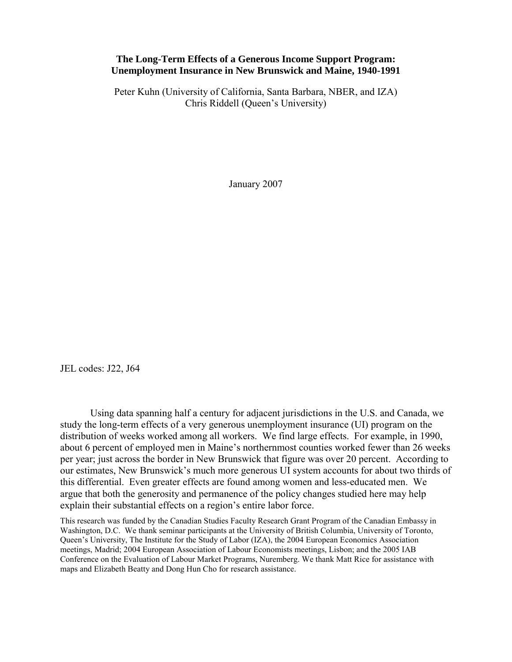## **The Long-Term Effects of a Generous Income Support Program: Unemployment Insurance in New Brunswick and Maine, 1940-1991**

Peter Kuhn (University of California, Santa Barbara, NBER, and IZA) Chris Riddell (Queen's University)

January 2007

JEL codes: J22, J64

Using data spanning half a century for adjacent jurisdictions in the U.S. and Canada, we study the long-term effects of a very generous unemployment insurance (UI) program on the distribution of weeks worked among all workers. We find large effects. For example, in 1990, about 6 percent of employed men in Maine's northernmost counties worked fewer than 26 weeks per year; just across the border in New Brunswick that figure was over 20 percent. According to our estimates, New Brunswick's much more generous UI system accounts for about two thirds of this differential. Even greater effects are found among women and less-educated men. We argue that both the generosity and permanence of the policy changes studied here may help explain their substantial effects on a region's entire labor force.

This research was funded by the Canadian Studies Faculty Research Grant Program of the Canadian Embassy in Washington, D.C. We thank seminar participants at the University of British Columbia, University of Toronto, Queen's University, The Institute for the Study of Labor (IZA), the 2004 European Economics Association meetings, Madrid; 2004 European Association of Labour Economists meetings, Lisbon; and the 2005 IAB Conference on the Evaluation of Labour Market Programs, Nuremberg. We thank Matt Rice for assistance with maps and Elizabeth Beatty and Dong Hun Cho for research assistance.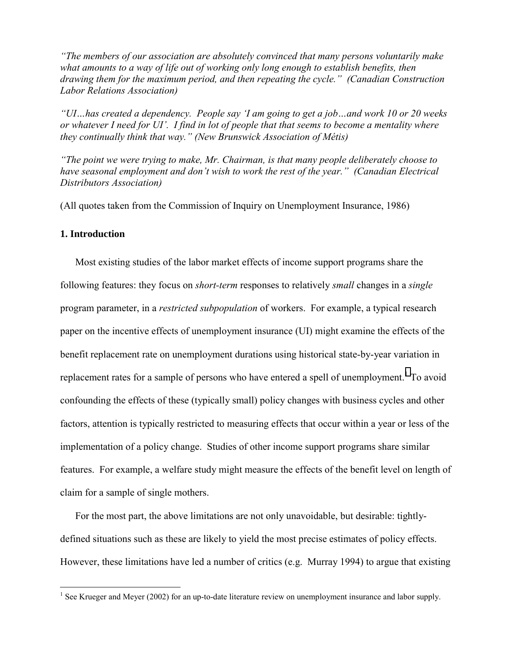*"The members of our association are absolutely convinced that many persons voluntarily make what amounts to a way of life out of working only long enough to establish benefits, then drawing them for the maximum period, and then repeating the cycle." (Canadian Construction Labor Relations Association)* 

*"UI…has created a dependency. People say 'I am going to get a job…and work 10 or 20 weeks or whatever I need for UI'. I find in lot of people that that seems to become a mentality where they continually think that way." (New Brunswick Association of Métis)* 

*"The point we were trying to make, Mr. Chairman, is that many people deliberately choose to have seasonal employment and don't wish to work the rest of the year." (Canadian Electrical Distributors Association)* 

(All quotes taken from the Commission of Inquiry on Unemployment Insurance, 1986)

## **1. Introduction**

 $\overline{a}$ 

Most existing studies of the labor market effects of income support programs share the following features: they focus on *short-term* responses to relatively *small* changes in a *single*  program parameter, in a *restricted subpopulation* of workers. For example, a typical research paper on the incentive effects of unemployment insurance (UI) might examine the effects of the benefit replacement rate on unemployment durations using historical state-by-year variation in replacement rates for a sample of persons who have entered a spell of unemployment.<sup>1</sup> To avoid confounding the effects of these (typically small) policy changes with business cycles and other factors, attention is typically restricted to measuring effects that occur within a year or less of the implementation of a policy change. Studies of other income support programs share similar features. For example, a welfare study might measure the effects of the benefit level on length of claim for a sample of single mothers.

For the most part, the above limitations are not only unavoidable, but desirable: tightlydefined situations such as these are likely to yield the most precise estimates of policy effects. However, these limitations have led a number of critics (e.g. Murray 1994) to argue that existing

<sup>&</sup>lt;sup>1</sup> See Krueger and Meyer (2002) for an up-to-date literature review on unemployment insurance and labor supply.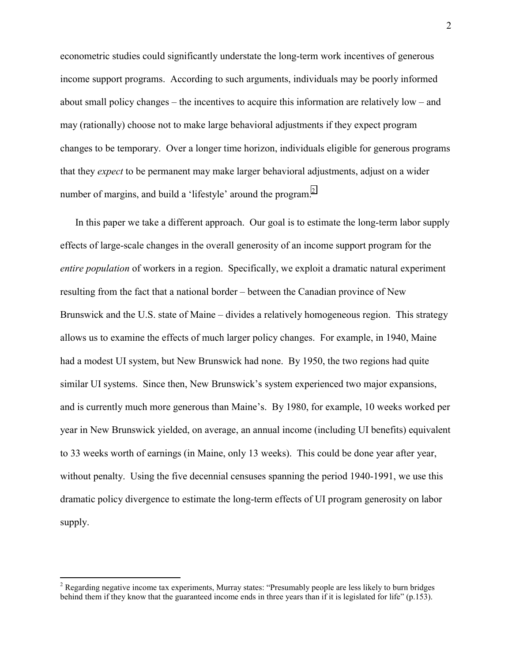econometric studies could significantly understate the long-term work incentives of generous income support programs. According to such arguments, individuals may be poorly informed about small policy changes – the incentives to acquire this information are relatively low – and may (rationally) choose not to make large behavioral adjustments if they expect program changes to be temporary. Over a longer time horizon, individuals eligible for generous programs that they *expect* to be permanent may make larger behavioral adjustments, adjust on a wider number of margins, and build a 'lifestyle' around the program.<sup>2</sup>

In this paper we take a different approach. Our goal is to estimate the long-term labor supply effects of large-scale changes in the overall generosity of an income support program for the *entire population* of workers in a region. Specifically, we exploit a dramatic natural experiment resulting from the fact that a national border – between the Canadian province of New Brunswick and the U.S. state of Maine – divides a relatively homogeneous region. This strategy allows us to examine the effects of much larger policy changes. For example, in 1940, Maine had a modest UI system, but New Brunswick had none. By 1950, the two regions had quite similar UI systems. Since then, New Brunswick's system experienced two major expansions, and is currently much more generous than Maine's. By 1980, for example, 10 weeks worked per year in New Brunswick yielded, on average, an annual income (including UI benefits) equivalent to 33 weeks worth of earnings (in Maine, only 13 weeks). This could be done year after year, without penalty. Using the five decennial censuses spanning the period 1940-1991, we use this dramatic policy divergence to estimate the long-term effects of UI program generosity on labor supply.

<sup>&</sup>lt;sup>2</sup> Regarding negative income tax experiments, Murray states: "Presumably people are less likely to burn bridges behind them if they know that the guaranteed income ends in three years than if it is legislated for life" (p.153).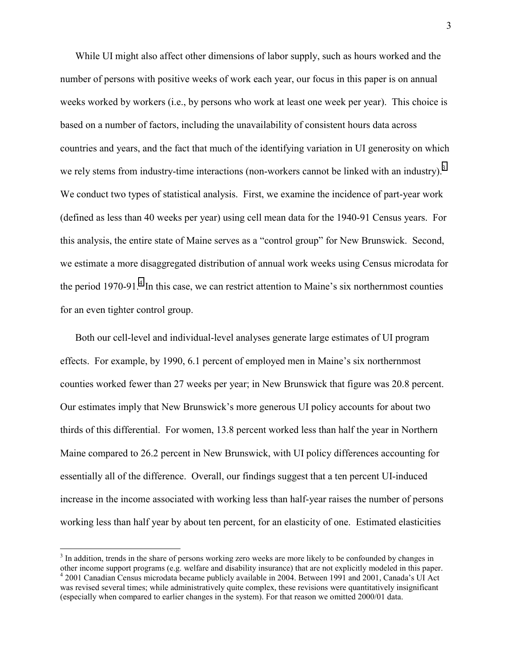While UI might also affect other dimensions of labor supply, such as hours worked and the number of persons with positive weeks of work each year, our focus in this paper is on annual weeks worked by workers (i.e., by persons who work at least one week per year). This choice is based on a number of factors, including the unavailability of consistent hours data across countries and years, and the fact that much of the identifying variation in UI generosity on which we rely stems from industry-time interactions (non-workers cannot be linked with an industry).<sup>3</sup> We conduct two types of statistical analysis. First, we examine the incidence of part-year work (defined as less than 40 weeks per year) using cell mean data for the 1940-91 Census years. For this analysis, the entire state of Maine serves as a "control group" for New Brunswick. Second, we estimate a more disaggregated distribution of annual work weeks using Census microdata for the period 1970-91.<sup>4</sup> In this case, we can restrict attention to Maine's six northernmost counties for an even tighter control group.

Both our cell-level and individual-level analyses generate large estimates of UI program effects. For example, by 1990, 6.1 percent of employed men in Maine's six northernmost counties worked fewer than 27 weeks per year; in New Brunswick that figure was 20.8 percent. Our estimates imply that New Brunswick's more generous UI policy accounts for about two thirds of this differential. For women, 13.8 percent worked less than half the year in Northern Maine compared to 26.2 percent in New Brunswick, with UI policy differences accounting for essentially all of the difference. Overall, our findings suggest that a ten percent UI-induced increase in the income associated with working less than half-year raises the number of persons working less than half year by about ten percent, for an elasticity of one. Estimated elasticities

 $3$  In addition, trends in the share of persons working zero weeks are more likely to be confounded by changes in other income support programs (e.g. welfare and disability insurance) that are not explicitly modeled in this paper. <sup>4</sup> 2001 Canadian Census microdata became publicly available in 2004. Between 1991 and 2001, Canada's UI Act was revised several times; while administratively quite complex, these revisions were quantitatively insignificant (especially when compared to earlier changes in the system). For that reason we omitted 2000/01 data.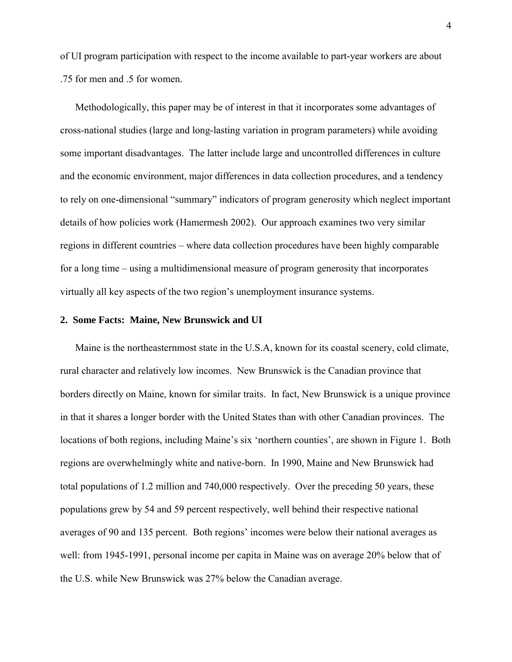of UI program participation with respect to the income available to part-year workers are about .75 for men and .5 for women.

Methodologically, this paper may be of interest in that it incorporates some advantages of cross-national studies (large and long-lasting variation in program parameters) while avoiding some important disadvantages. The latter include large and uncontrolled differences in culture and the economic environment, major differences in data collection procedures, and a tendency to rely on one-dimensional "summary" indicators of program generosity which neglect important details of how policies work (Hamermesh 2002). Our approach examines two very similar regions in different countries – where data collection procedures have been highly comparable for a long time – using a multidimensional measure of program generosity that incorporates virtually all key aspects of the two region's unemployment insurance systems.

### **2. Some Facts: Maine, New Brunswick and UI**

Maine is the northeasternmost state in the U.S.A, known for its coastal scenery, cold climate, rural character and relatively low incomes. New Brunswick is the Canadian province that borders directly on Maine, known for similar traits. In fact, New Brunswick is a unique province in that it shares a longer border with the United States than with other Canadian provinces. The locations of both regions, including Maine's six 'northern counties', are shown in Figure 1. Both regions are overwhelmingly white and native-born. In 1990, Maine and New Brunswick had total populations of 1.2 million and 740,000 respectively. Over the preceding 50 years, these populations grew by 54 and 59 percent respectively, well behind their respective national averages of 90 and 135 percent. Both regions' incomes were below their national averages as well: from 1945-1991, personal income per capita in Maine was on average 20% below that of the U.S. while New Brunswick was 27% below the Canadian average.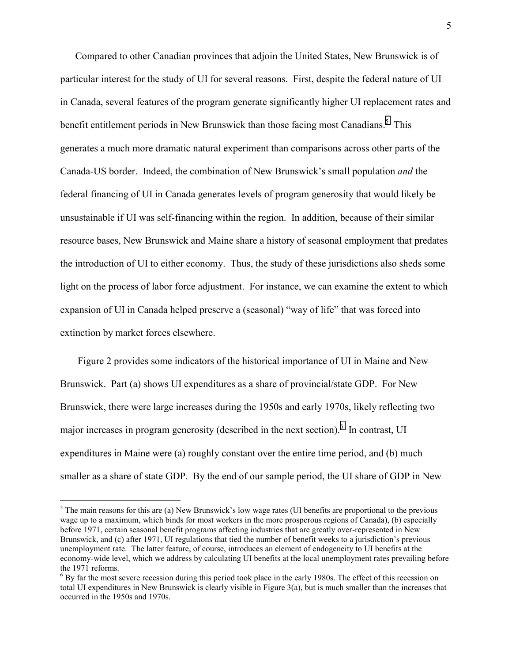Compared to other Canadian provinces that adjoin the United States, New Brunswick is of particular interest for the study of UI for several reasons. First, despite the federal nature of UI in Canada, several features of the program generate significantly higher UI replacement rates and benefit entitlement periods in New Brunswick than those facing most Canadians.<sup>5</sup> This generates a much more dramatic natural experiment than comparisons across other parts of the Canada-US border. Indeed, the combination of New Brunswick's small population *and* the federal financing of UI in Canada generates levels of program generosity that would likely be unsustainable if UI was self-financing within the region. In addition, because of their similar resource bases, New Brunswick and Maine share a history of seasonal employment that predates the introduction of UI to either economy. Thus, the study of these jurisdictions also sheds some light on the process of labor force adjustment. For instance, we can examine the extent to which expansion of UI in Canada helped preserve a (seasonal) "way of life" that was forced into extinction by market forces elsewhere.

 Figure 2 provides some indicators of the historical importance of UI in Maine and New Brunswick. Part (a) shows UI expenditures as a share of provincial/state GDP. For New Brunswick, there were large increases during the 1950s and early 1970s, likely reflecting two major increases in program generosity (described in the next section). <sup>6</sup> In contrast, UI expenditures in Maine were (a) roughly constant over the entire time period, and (b) much smaller as a share of state GDP. By the end of our sample period, the UI share of GDP in New

 $<sup>5</sup>$  The main reasons for this are (a) New Brunswick's low wage rates (UI benefits are proportional to the previous</sup> wage up to a maximum, which binds for most workers in the more prosperous regions of Canada), (b) especially before 1971, certain seasonal benefit programs affecting industries that are greatly over-represented in New Brunswick, and (c) after 1971, UI regulations that tied the number of benefit weeks to a jurisdiction's previous unemployment rate. The latter feature, of course, introduces an element of endogeneity to UI benefits at the economy-wide level, which we address by calculating UI benefits at the local unemployment rates prevailing before the 1971 reforms.

 $<sup>6</sup>$  By far the most severe recession during this period took place in the early 1980s. The effect of this recession on</sup> total UI expenditures in New Brunswick is clearly visible in Figure 3(a), but is much smaller than the increases that occurred in the 1950s and 1970s.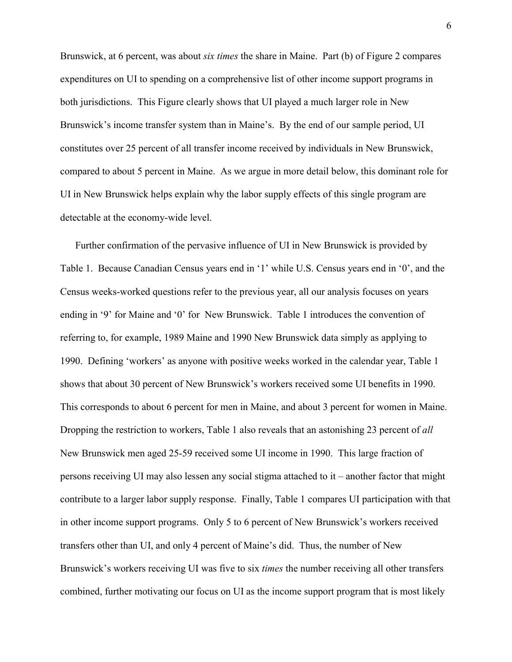Brunswick, at 6 percent, was about *six times* the share in Maine. Part (b) of Figure 2 compares expenditures on UI to spending on a comprehensive list of other income support programs in both jurisdictions. This Figure clearly shows that UI played a much larger role in New Brunswick's income transfer system than in Maine's. By the end of our sample period, UI constitutes over 25 percent of all transfer income received by individuals in New Brunswick, compared to about 5 percent in Maine. As we argue in more detail below, this dominant role for UI in New Brunswick helps explain why the labor supply effects of this single program are detectable at the economy-wide level.

Further confirmation of the pervasive influence of UI in New Brunswick is provided by Table 1. Because Canadian Census years end in '1' while U.S. Census years end in '0', and the Census weeks-worked questions refer to the previous year, all our analysis focuses on years ending in '9' for Maine and '0' for New Brunswick. Table 1 introduces the convention of referring to, for example, 1989 Maine and 1990 New Brunswick data simply as applying to 1990. Defining 'workers' as anyone with positive weeks worked in the calendar year, Table 1 shows that about 30 percent of New Brunswick's workers received some UI benefits in 1990. This corresponds to about 6 percent for men in Maine, and about 3 percent for women in Maine. Dropping the restriction to workers, Table 1 also reveals that an astonishing 23 percent of *all* New Brunswick men aged 25-59 received some UI income in 1990. This large fraction of persons receiving UI may also lessen any social stigma attached to it – another factor that might contribute to a larger labor supply response. Finally, Table 1 compares UI participation with that in other income support programs. Only 5 to 6 percent of New Brunswick's workers received transfers other than UI, and only 4 percent of Maine's did. Thus, the number of New Brunswick's workers receiving UI was five to six *times* the number receiving all other transfers combined, further motivating our focus on UI as the income support program that is most likely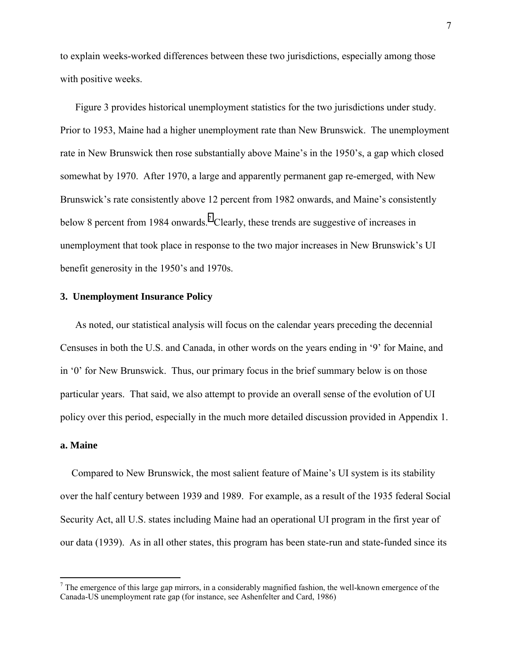to explain weeks-worked differences between these two jurisdictions, especially among those with positive weeks.

Figure 3 provides historical unemployment statistics for the two jurisdictions under study. Prior to 1953, Maine had a higher unemployment rate than New Brunswick. The unemployment rate in New Brunswick then rose substantially above Maine's in the 1950's, a gap which closed somewhat by 1970. After 1970, a large and apparently permanent gap re-emerged, with New Brunswick's rate consistently above 12 percent from 1982 onwards, and Maine's consistently below 8 percent from 1984 onwards.<sup>7</sup> Clearly, these trends are suggestive of increases in unemployment that took place in response to the two major increases in New Brunswick's UI benefit generosity in the 1950's and 1970s.

## **3. Unemployment Insurance Policy**

As noted, our statistical analysis will focus on the calendar years preceding the decennial Censuses in both the U.S. and Canada, in other words on the years ending in '9' for Maine, and in '0' for New Brunswick. Thus, our primary focus in the brief summary below is on those particular years. That said, we also attempt to provide an overall sense of the evolution of UI policy over this period, especially in the much more detailed discussion provided in Appendix 1.

## **a. Maine**

 $\overline{a}$ 

Compared to New Brunswick, the most salient feature of Maine's UI system is its stability over the half century between 1939 and 1989. For example, as a result of the 1935 federal Social Security Act, all U.S. states including Maine had an operational UI program in the first year of our data (1939). As in all other states, this program has been state-run and state-funded since its

 $<sup>7</sup>$  The emergence of this large gap mirrors, in a considerably magnified fashion, the well-known emergence of the</sup> Canada-US unemployment rate gap (for instance, see Ashenfelter and Card, 1986)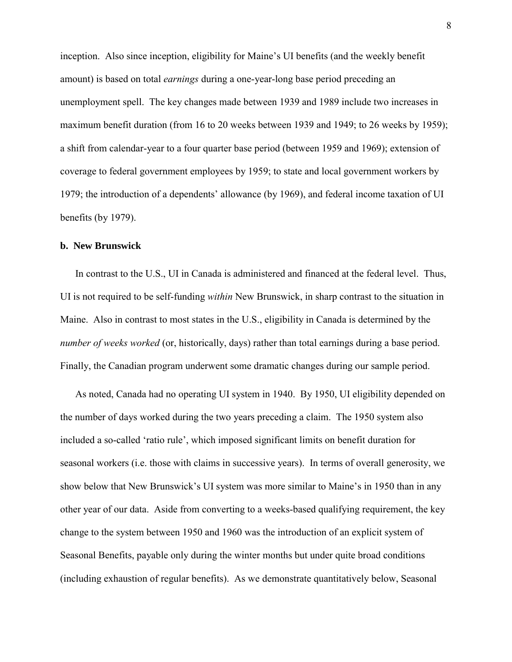inception. Also since inception, eligibility for Maine's UI benefits (and the weekly benefit amount) is based on total *earnings* during a one-year-long base period preceding an unemployment spell. The key changes made between 1939 and 1989 include two increases in maximum benefit duration (from 16 to 20 weeks between 1939 and 1949; to 26 weeks by 1959); a shift from calendar-year to a four quarter base period (between 1959 and 1969); extension of coverage to federal government employees by 1959; to state and local government workers by 1979; the introduction of a dependents' allowance (by 1969), and federal income taxation of UI benefits (by 1979).

### **b. New Brunswick**

In contrast to the U.S., UI in Canada is administered and financed at the federal level. Thus, UI is not required to be self-funding *within* New Brunswick, in sharp contrast to the situation in Maine. Also in contrast to most states in the U.S., eligibility in Canada is determined by the *number of weeks worked* (or, historically, days) rather than total earnings during a base period. Finally, the Canadian program underwent some dramatic changes during our sample period.

As noted, Canada had no operating UI system in 1940. By 1950, UI eligibility depended on the number of days worked during the two years preceding a claim. The 1950 system also included a so-called 'ratio rule', which imposed significant limits on benefit duration for seasonal workers (i.e. those with claims in successive years). In terms of overall generosity, we show below that New Brunswick's UI system was more similar to Maine's in 1950 than in any other year of our data. Aside from converting to a weeks-based qualifying requirement, the key change to the system between 1950 and 1960 was the introduction of an explicit system of Seasonal Benefits, payable only during the winter months but under quite broad conditions (including exhaustion of regular benefits). As we demonstrate quantitatively below, Seasonal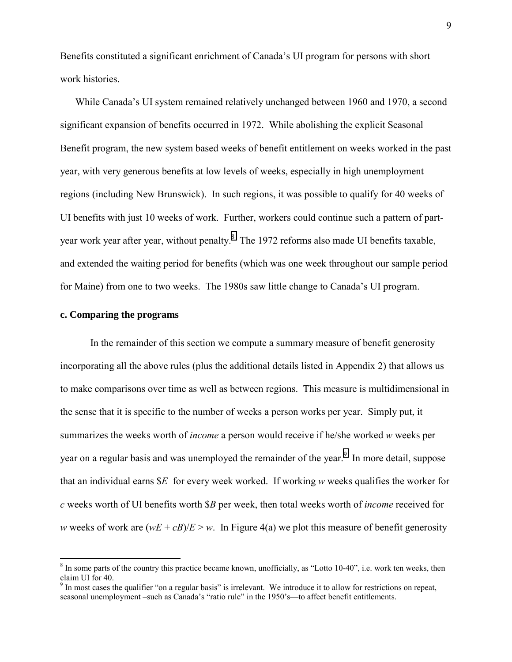Benefits constituted a significant enrichment of Canada's UI program for persons with short work histories.

While Canada's UI system remained relatively unchanged between 1960 and 1970, a second significant expansion of benefits occurred in 1972. While abolishing the explicit Seasonal Benefit program, the new system based weeks of benefit entitlement on weeks worked in the past year, with very generous benefits at low levels of weeks, especially in high unemployment regions (including New Brunswick). In such regions, it was possible to qualify for 40 weeks of UI benefits with just 10 weeks of work. Further, workers could continue such a pattern of partyear work year after year, without penalty.<sup>8</sup> The 1972 reforms also made UI benefits taxable, and extended the waiting period for benefits (which was one week throughout our sample period for Maine) from one to two weeks. The 1980s saw little change to Canada's UI program.

## **c. Comparing the programs**

 $\overline{a}$ 

 In the remainder of this section we compute a summary measure of benefit generosity incorporating all the above rules (plus the additional details listed in Appendix 2) that allows us to make comparisons over time as well as between regions. This measure is multidimensional in the sense that it is specific to the number of weeks a person works per year. Simply put, it summarizes the weeks worth of *income* a person would receive if he/she worked *w* weeks per year on a regular basis and was unemployed the remainder of the year.<sup>9</sup> In more detail, suppose that an individual earns \$*E* for every week worked. If working *w* weeks qualifies the worker for *c* weeks worth of UI benefits worth \$*B* per week, then total weeks worth of *income* received for *w* weeks of work are  $(wE + cB)/E > w$ . In Figure 4(a) we plot this measure of benefit generosity

 $8$  In some parts of the country this practice became known, unofficially, as "Lotto 10-40", i.e. work ten weeks, then claim UI for 40.<br><sup>9</sup> In most cases the qualifier "on a regular basis" is irrelevant. We introduce it to allow for restrictions on repeat,

seasonal unemployment –such as Canada's "ratio rule" in the 1950's—to affect benefit entitlements.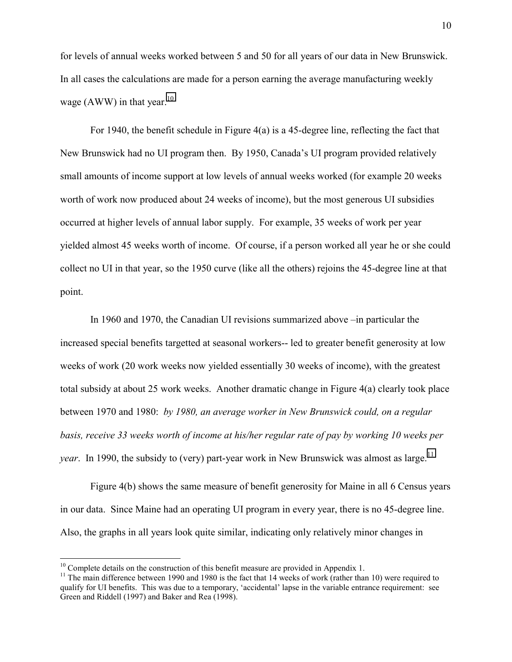for levels of annual weeks worked between 5 and 50 for all years of our data in New Brunswick. In all cases the calculations are made for a person earning the average manufacturing weekly wage (AWW) in that year.<sup>10</sup>

 For 1940, the benefit schedule in Figure 4(a) is a 45-degree line, reflecting the fact that New Brunswick had no UI program then. By 1950, Canada's UI program provided relatively small amounts of income support at low levels of annual weeks worked (for example 20 weeks worth of work now produced about 24 weeks of income), but the most generous UI subsidies occurred at higher levels of annual labor supply. For example, 35 weeks of work per year yielded almost 45 weeks worth of income. Of course, if a person worked all year he or she could collect no UI in that year, so the 1950 curve (like all the others) rejoins the 45-degree line at that point.

In 1960 and 1970, the Canadian UI revisions summarized above –in particular the increased special benefits targetted at seasonal workers-- led to greater benefit generosity at low weeks of work (20 work weeks now yielded essentially 30 weeks of income), with the greatest total subsidy at about 25 work weeks. Another dramatic change in Figure 4(a) clearly took place between 1970 and 1980: *by 1980, an average worker in New Brunswick could, on a regular basis, receive 33 weeks worth of income at his/her regular rate of pay by working 10 weeks per year*. In 1990, the subsidy to (very) part-year work in New Brunswick was almost as large.<sup>11</sup>

 Figure 4(b) shows the same measure of benefit generosity for Maine in all 6 Census years in our data. Since Maine had an operating UI program in every year, there is no 45-degree line. Also, the graphs in all years look quite similar, indicating only relatively minor changes in

 $10$  Complete details on the construction of this benefit measure are provided in Appendix 1.

<sup>&</sup>lt;sup>11</sup> The main difference between 1990 and 1980 is the fact that 14 weeks of work (rather than 10) were required to qualify for UI benefits. This was due to a temporary, 'accidental' lapse in the variable entrance requirement: see Green and Riddell (1997) and Baker and Rea (1998).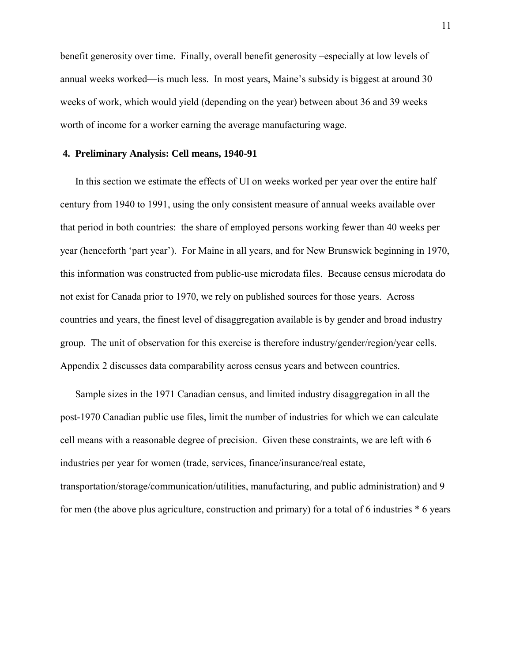benefit generosity over time. Finally, overall benefit generosity –especially at low levels of annual weeks worked—is much less. In most years, Maine's subsidy is biggest at around 30 weeks of work, which would yield (depending on the year) between about 36 and 39 weeks worth of income for a worker earning the average manufacturing wage.

## **4. Preliminary Analysis: Cell means, 1940-91**

In this section we estimate the effects of UI on weeks worked per year over the entire half century from 1940 to 1991, using the only consistent measure of annual weeks available over that period in both countries: the share of employed persons working fewer than 40 weeks per year (henceforth 'part year'). For Maine in all years, and for New Brunswick beginning in 1970, this information was constructed from public-use microdata files. Because census microdata do not exist for Canada prior to 1970, we rely on published sources for those years. Across countries and years, the finest level of disaggregation available is by gender and broad industry group. The unit of observation for this exercise is therefore industry/gender/region/year cells. Appendix 2 discusses data comparability across census years and between countries.

Sample sizes in the 1971 Canadian census, and limited industry disaggregation in all the post-1970 Canadian public use files, limit the number of industries for which we can calculate cell means with a reasonable degree of precision. Given these constraints, we are left with 6 industries per year for women (trade, services, finance/insurance/real estate, transportation/storage/communication/utilities, manufacturing, and public administration) and 9 for men (the above plus agriculture, construction and primary) for a total of 6 industries \* 6 years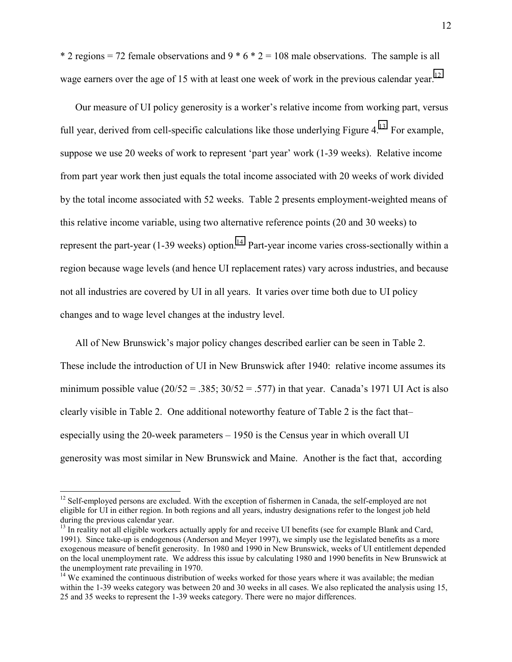\* 2 regions = 72 female observations and  $9 * 6 * 2 = 108$  male observations. The sample is all wage earners over the age of 15 with at least one week of work in the previous calendar year.<sup>12</sup>

Our measure of UI policy generosity is a worker's relative income from working part, versus full year, derived from cell-specific calculations like those underlying Figure  $4<sup>13</sup>$  For example, suppose we use 20 weeks of work to represent 'part year' work (1-39 weeks). Relative income from part year work then just equals the total income associated with 20 weeks of work divided by the total income associated with 52 weeks. Table 2 presents employment-weighted means of this relative income variable, using two alternative reference points (20 and 30 weeks) to represent the part-year (1-39 weeks) option.<sup>14</sup> Part-year income varies cross-sectionally within a region because wage levels (and hence UI replacement rates) vary across industries, and because not all industries are covered by UI in all years. It varies over time both due to UI policy changes and to wage level changes at the industry level.

All of New Brunswick's major policy changes described earlier can be seen in Table 2. These include the introduction of UI in New Brunswick after 1940: relative income assumes its minimum possible value ( $20/52 = .385$ ;  $30/52 = .577$ ) in that year. Canada's 1971 UI Act is also clearly visible in Table 2. One additional noteworthy feature of Table 2 is the fact that– especially using the 20-week parameters – 1950 is the Census year in which overall UI generosity was most similar in New Brunswick and Maine. Another is the fact that, according

<sup>&</sup>lt;sup>12</sup> Self-employed persons are excluded. With the exception of fishermen in Canada, the self-employed are not eligible for UI in either region. In both regions and all years, industry designations refer to the longest job held during the previous calendar year.

 $^{13}$  In reality not all eligible workers actually apply for and receive UI benefits (see for example Blank and Card, 1991). Since take-up is endogenous (Anderson and Meyer 1997), we simply use the legislated benefits as a more exogenous measure of benefit generosity.In 1980 and 1990 in New Brunswick, weeks of UI entitlement depended on the local unemployment rate. We address this issue by calculating 1980 and 1990 benefits in New Brunswick at the unemployment rate prevailing in 1970.

<sup>&</sup>lt;sup>14</sup> We examined the continuous distribution of weeks worked for those years where it was available; the median within the 1-39 weeks category was between 20 and 30 weeks in all cases. We also replicated the analysis using 15, 25 and 35 weeks to represent the 1-39 weeks category. There were no major differences.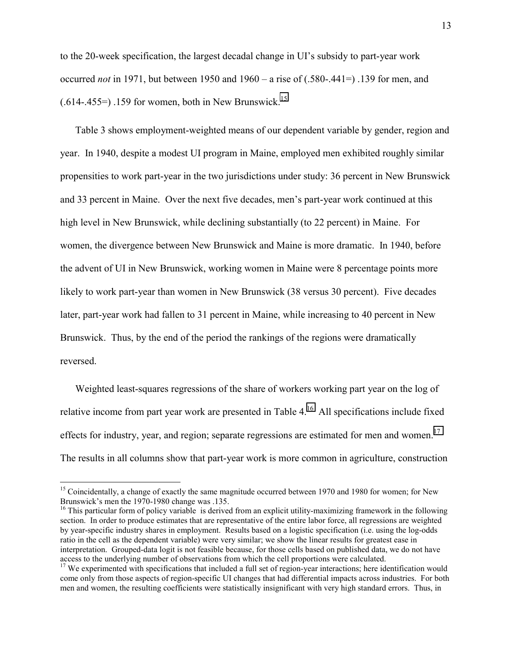to the 20-week specification, the largest decadal change in UI's subsidy to part-year work occurred *not* in 1971, but between 1950 and 1960 – a rise of (.580-.441=) .139 for men, and  $(.614-.455=)$  .159 for women, both in New Brunswick.<sup>15</sup>

Table 3 shows employment-weighted means of our dependent variable by gender, region and year. In 1940, despite a modest UI program in Maine, employed men exhibited roughly similar propensities to work part-year in the two jurisdictions under study: 36 percent in New Brunswick and 33 percent in Maine. Over the next five decades, men's part-year work continued at this high level in New Brunswick, while declining substantially (to 22 percent) in Maine. For women, the divergence between New Brunswick and Maine is more dramatic. In 1940, before the advent of UI in New Brunswick, working women in Maine were 8 percentage points more likely to work part-year than women in New Brunswick (38 versus 30 percent). Five decades later, part-year work had fallen to 31 percent in Maine, while increasing to 40 percent in New Brunswick. Thus, by the end of the period the rankings of the regions were dramatically reversed.

Weighted least-squares regressions of the share of workers working part year on the log of relative income from part year work are presented in Table 4.<sup>16</sup> All specifications include fixed effects for industry, year, and region; separate regressions are estimated for men and women.<sup>17</sup> The results in all columns show that part-year work is more common in agriculture, construction

<sup>&</sup>lt;sup>15</sup> Coincidentally, a change of exactly the same magnitude occurred between 1970 and 1980 for women; for New Brunswick's men the 1970-1980 change was .135.

 $16$  This particular form of policy variable is derived from an explicit utility-maximizing framework in the following section. In order to produce estimates that are representative of the entire labor force, all regressions are weighted by year-specific industry shares in employment. Results based on a logistic specification (i.e. using the log-odds ratio in the cell as the dependent variable) were very similar; we show the linear results for greatest ease in interpretation. Grouped-data logit is not feasible because, for those cells based on published data, we do not have access to the underlying number of observations from which the cell proportions were calculated.

<sup>&</sup>lt;sup>17</sup> We experimented with specifications that included a full set of region-year interactions; here identification would come only from those aspects of region-specific UI changes that had differential impacts across industries. For both men and women, the resulting coefficients were statistically insignificant with very high standard errors. Thus, in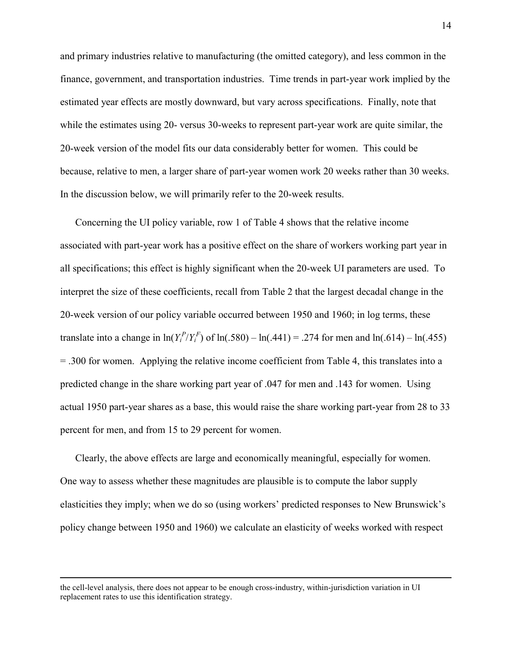and primary industries relative to manufacturing (the omitted category), and less common in the finance, government, and transportation industries. Time trends in part-year work implied by the estimated year effects are mostly downward, but vary across specifications. Finally, note that while the estimates using 20- versus 30-weeks to represent part-year work are quite similar, the 20-week version of the model fits our data considerably better for women. This could be because, relative to men, a larger share of part-year women work 20 weeks rather than 30 weeks. In the discussion below, we will primarily refer to the 20-week results.

Concerning the UI policy variable, row 1 of Table 4 shows that the relative income associated with part-year work has a positive effect on the share of workers working part year in all specifications; this effect is highly significant when the 20-week UI parameters are used. To interpret the size of these coefficients, recall from Table 2 that the largest decadal change in the 20-week version of our policy variable occurred between 1950 and 1960; in log terms, these translate into a change in  $ln(Y_i^P/Y_i^F)$  of  $ln(.580) - ln(.441) = .274$  for men and  $ln(.614) - ln(.455)$ = .300 for women. Applying the relative income coefficient from Table 4, this translates into a predicted change in the share working part year of .047 for men and .143 for women. Using actual 1950 part-year shares as a base, this would raise the share working part-year from 28 to 33 percent for men, and from 15 to 29 percent for women.

Clearly, the above effects are large and economically meaningful, especially for women. One way to assess whether these magnitudes are plausible is to compute the labor supply elasticities they imply; when we do so (using workers' predicted responses to New Brunswick's policy change between 1950 and 1960) we calculate an elasticity of weeks worked with respect

the cell-level analysis, there does not appear to be enough cross-industry, within-jurisdiction variation in UI replacement rates to use this identification strategy.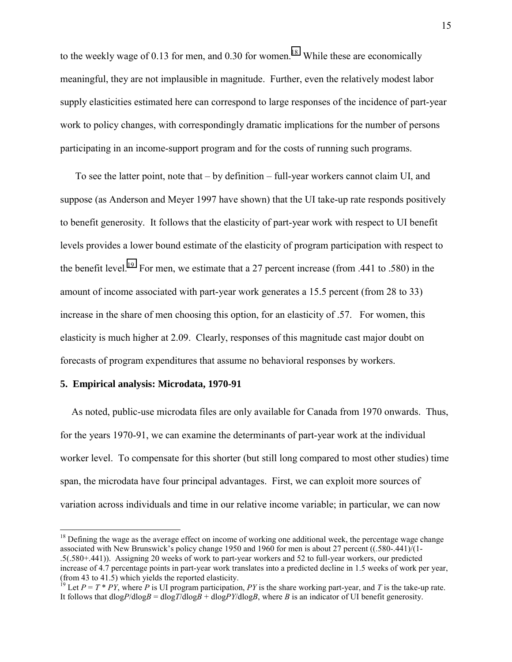to the weekly wage of 0.13 for men, and 0.30 for women.<sup>18</sup> While these are economically meaningful, they are not implausible in magnitude. Further, even the relatively modest labor supply elasticities estimated here can correspond to large responses of the incidence of part-year work to policy changes, with correspondingly dramatic implications for the number of persons participating in an income-support program and for the costs of running such programs.

To see the latter point, note that – by definition – full-year workers cannot claim UI, and suppose (as Anderson and Meyer 1997 have shown) that the UI take-up rate responds positively to benefit generosity. It follows that the elasticity of part-year work with respect to UI benefit levels provides a lower bound estimate of the elasticity of program participation with respect to the benefit level.<sup>19</sup> For men, we estimate that a 27 percent increase (from .441 to .580) in the amount of income associated with part-year work generates a 15.5 percent (from 28 to 33) increase in the share of men choosing this option, for an elasticity of .57. For women, this elasticity is much higher at 2.09. Clearly, responses of this magnitude cast major doubt on forecasts of program expenditures that assume no behavioral responses by workers.

## **5. Empirical analysis: Microdata, 1970-91**

 $\overline{a}$ 

As noted, public-use microdata files are only available for Canada from 1970 onwards. Thus, for the years 1970-91, we can examine the determinants of part-year work at the individual worker level. To compensate for this shorter (but still long compared to most other studies) time span, the microdata have four principal advantages. First, we can exploit more sources of variation across individuals and time in our relative income variable; in particular, we can now

 $18$  Defining the wage as the average effect on income of working one additional week, the percentage wage change associated with New Brunswick's policy change 1950 and 1960 for men is about 27 percent ((.580-.441)/(1- .5(.580+.441)). Assigning 20 weeks of work to part-year workers and 52 to full-year workers, our predicted increase of 4.7 percentage points in part-year work translates into a predicted decline in 1.5 weeks of work per year, (from 43 to 41.5) which yields the reported elasticity.

<sup>&</sup>lt;sup>19</sup> Let  $P = T * PY$ , where  $P$  is UI program participation,  $PY$  is the share working part-year, and  $T$  is the take-up rate. It follows that  $dlogP/dlogB = dlogT/dlogB + dlogPY/dlogB$ , where *B* is an indicator of UI benefit generosity.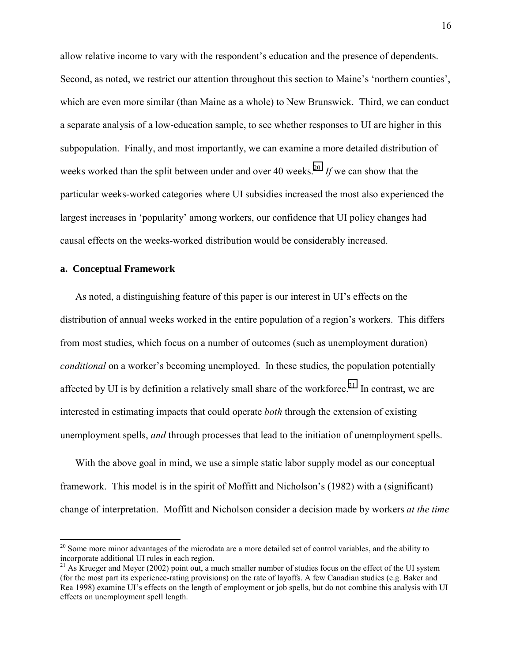allow relative income to vary with the respondent's education and the presence of dependents. Second, as noted, we restrict our attention throughout this section to Maine's 'northern counties', which are even more similar (than Maine as a whole) to New Brunswick. Third, we can conduct a separate analysis of a low-education sample, to see whether responses to UI are higher in this subpopulation. Finally, and most importantly, we can examine a more detailed distribution of weeks worked than the split between under and over 40 weeks.<sup>20</sup> If we can show that the particular weeks-worked categories where UI subsidies increased the most also experienced the largest increases in 'popularity' among workers, our confidence that UI policy changes had causal effects on the weeks-worked distribution would be considerably increased.

## **a. Conceptual Framework**

 $\overline{a}$ 

As noted, a distinguishing feature of this paper is our interest in UI's effects on the distribution of annual weeks worked in the entire population of a region's workers. This differs from most studies, which focus on a number of outcomes (such as unemployment duration) *conditional* on a worker's becoming unemployed. In these studies, the population potentially affected by UI is by definition a relatively small share of the workforce.<sup>21</sup> In contrast, we are interested in estimating impacts that could operate *both* through the extension of existing unemployment spells, *and* through processes that lead to the initiation of unemployment spells.

With the above goal in mind, we use a simple static labor supply model as our conceptual framework. This model is in the spirit of Moffitt and Nicholson's (1982) with a (significant) change of interpretation. Moffitt and Nicholson consider a decision made by workers *at the time* 

<sup>&</sup>lt;sup>20</sup> Some more minor advantages of the microdata are a more detailed set of control variables, and the ability to incorporate additional UI rules in each region.

<sup>&</sup>lt;sup>21</sup> As Krueger and Meyer (2002) point out, a much smaller number of studies focus on the effect of the UI system (for the most part its experience-rating provisions) on the rate of layoffs. A few Canadian studies (e.g. Baker and Rea 1998) examine UI's effects on the length of employment or job spells, but do not combine this analysis with UI effects on unemployment spell length.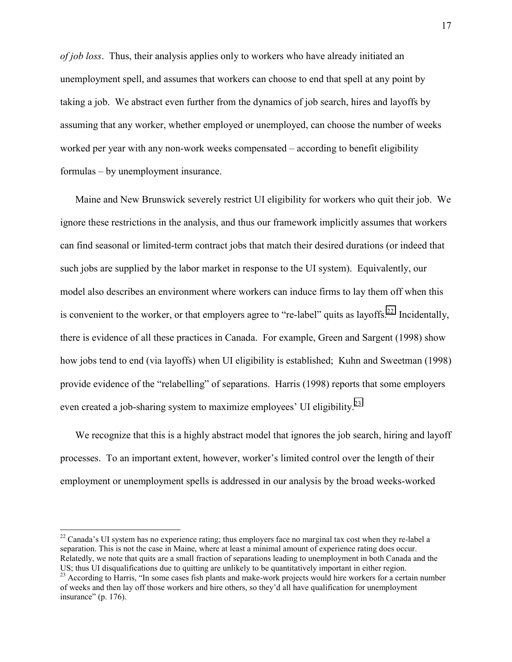*of job loss*. Thus, their analysis applies only to workers who have already initiated an unemployment spell, and assumes that workers can choose to end that spell at any point by taking a job. We abstract even further from the dynamics of job search, hires and layoffs by assuming that any worker, whether employed or unemployed, can choose the number of weeks worked per year with any non-work weeks compensated – according to benefit eligibility formulas – by unemployment insurance.

Maine and New Brunswick severely restrict UI eligibility for workers who quit their job. We ignore these restrictions in the analysis, and thus our framework implicitly assumes that workers can find seasonal or limited-term contract jobs that match their desired durations (or indeed that such jobs are supplied by the labor market in response to the UI system). Equivalently, our model also describes an environment where workers can induce firms to lay them off when this is convenient to the worker, or that employers agree to "re-label" quits as layoffs.<sup>22</sup> Incidentally, there is evidence of all these practices in Canada. For example, Green and Sargent (1998) show how jobs tend to end (via layoffs) when UI eligibility is established; Kuhn and Sweetman (1998) provide evidence of the "relabelling" of separations. Harris (1998) reports that some employers even created a job-sharing system to maximize employees' UI eligibility.<sup>23</sup>

We recognize that this is a highly abstract model that ignores the job search, hiring and layoff processes. To an important extent, however, worker's limited control over the length of their employment or unemployment spells is addressed in our analysis by the broad weeks-worked

<sup>&</sup>lt;sup>22</sup> Canada's UI system has no experience rating; thus employers face no marginal tax cost when they re-label a separation. This is not the case in Maine, where at least a minimal amount of experience rating does occur. Relatedly, we note that quits are a small fraction of separations leading to unemployment in both Canada and the US; thus UI disqualifications due to quitting are unlikely to be quantitatively important in either region.

<sup>&</sup>lt;sup>23</sup> According to Harris, "In some cases fish plants and make-work projects would hire workers for a certain number of weeks and then lay off those workers and hire others, so they'd all have qualification for unemployment insurance" (p. 176).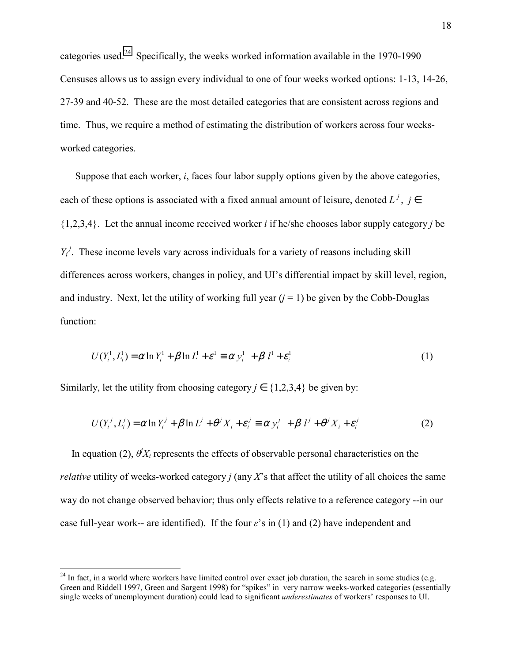categories used.<sup>24</sup> Specifically, the weeks worked information available in the 1970-1990 Censuses allows us to assign every individual to one of four weeks worked options: 1-13, 14-26, 27-39 and 40-52. These are the most detailed categories that are consistent across regions and time. Thus, we require a method of estimating the distribution of workers across four weeksworked categories.

Suppose that each worker, *i*, faces four labor supply options given by the above categories, each of these options is associated with a fixed annual amount of leisure, denoted  $L^j$ ,  $j \in$ {1,2,3,4}. Let the annual income received worker *i* if he/she chooses labor supply category *j* be  $Y_i^j$ . These income levels vary across individuals for a variety of reasons including skill differences across workers, changes in policy, and UI's differential impact by skill level, region, and industry. Next, let the utility of working full year  $(j = 1)$  be given by the Cobb-Douglas function:

$$
U(Y_i^1, L_i^1) = \alpha \ln Y_i^1 + \beta \ln L^1 + \varepsilon^1 \equiv \alpha y_i^1 + \beta l^1 + \varepsilon_i^1
$$
 (1)

Similarly, let the utility from choosing category  $j \in \{1,2,3,4\}$  be given by:

 $\overline{a}$ 

$$
U(Y_i^j, L_i^j) = \alpha \ln Y_i^j + \beta \ln L^j + \theta^j X_i + \varepsilon_i^j \equiv \alpha y_i^j + \beta l^j + \theta^j X_i + \varepsilon_i^j
$$
 (2)

In equation (2),  $\theta$ <sup>*X<sub>i</sub>*</sup> represents the effects of observable personal characteristics on the *relative* utility of weeks-worked category *j* (any *X*'s that affect the utility of all choices the same way do not change observed behavior; thus only effects relative to a reference category --in our case full-year work-- are identified). If the four *ε*'s in (1) and (2) have independent and

 $24$  In fact, in a world where workers have limited control over exact job duration, the search in some studies (e.g. Green and Riddell 1997, Green and Sargent 1998) for "spikes" in very narrow weeks-worked categories (essentially single weeks of unemployment duration) could lead to significant *underestimates* of workers' responses to UI.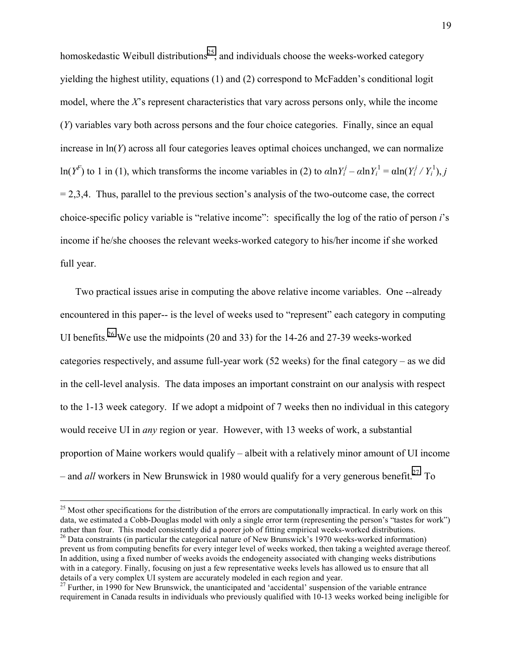homoskedastic Weibull distributions<sup>25</sup>, and individuals choose the weeks-worked category yielding the highest utility, equations (1) and (2) correspond to McFadden's conditional logit model, where the *X*'s represent characteristics that vary across persons only, while the income (*Y*) variables vary both across persons and the four choice categories. Finally, since an equal increase in ln(*Y*) across all four categories leaves optimal choices unchanged, we can normalize ln(*Y<sup>F</sup>*) to 1 in (1), which transforms the income variables in (2) to  $\alpha \ln Y_i^j - \alpha \ln Y_i^1 = \alpha \ln(Y_i^j / Y_i^1)$ , *j*  $= 2,3,4$ . Thus, parallel to the previous section's analysis of the two-outcome case, the correct choice-specific policy variable is "relative income": specifically the log of the ratio of person *i*'s income if he/she chooses the relevant weeks-worked category to his/her income if she worked full year.

Two practical issues arise in computing the above relative income variables. One --already encountered in this paper-- is the level of weeks used to "represent" each category in computing UI benefits.<sup>26</sup> We use the midpoints (20 and 33) for the 14-26 and 27-39 weeks-worked categories respectively, and assume full-year work (52 weeks) for the final category – as we did in the cell-level analysis. The data imposes an important constraint on our analysis with respect to the 1-13 week category. If we adopt a midpoint of 7 weeks then no individual in this category would receive UI in *any* region or year. However, with 13 weeks of work, a substantial proportion of Maine workers would qualify – albeit with a relatively minor amount of UI income – and *all* workers in New Brunswick in 1980 would qualify for a very generous benefit.<sup>27</sup> To

 $25$  Most other specifications for the distribution of the errors are computationally impractical. In early work on this data, we estimated a Cobb-Douglas model with only a single error term (representing the person's "tastes for work") rather than four. This model consistently did a poorer job of fitting empirical weeks-worked distributions.

 $^{26}$  Data constraints (in particular the categorical nature of New Brunswick's 1970 weeks-worked information) prevent us from computing benefits for every integer level of weeks worked, then taking a weighted average thereof. In addition, using a fixed number of weeks avoids the endogeneity associated with changing weeks distributions with in a category. Finally, focusing on just a few representative weeks levels has allowed us to ensure that all details of a very complex UI system are accurately modeled in each region and year.

 $^{27}$  Further, in 1990 for New Brunswick, the unanticipated and 'accidental' suspension of the variable entrance requirement in Canada results in individuals who previously qualified with 10-13 weeks worked being ineligible for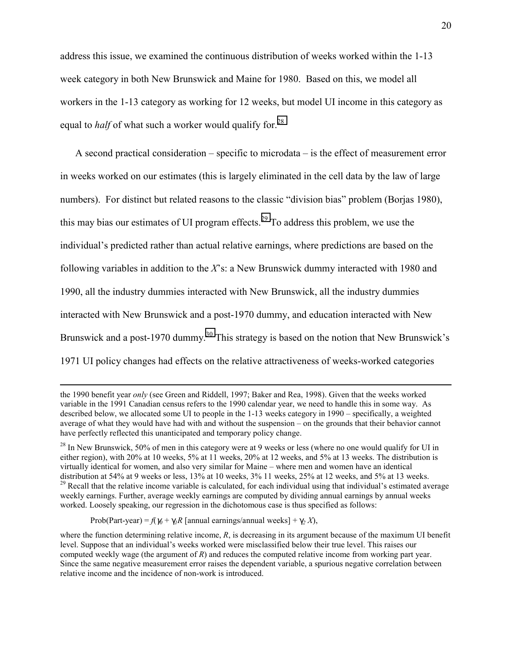address this issue, we examined the continuous distribution of weeks worked within the 1-13 week category in both New Brunswick and Maine for 1980. Based on this, we model all workers in the 1-13 category as working for 12 weeks, but model UI income in this category as equal to *half* of what such a worker would qualify for.<sup>28</sup>

A second practical consideration – specific to microdata – is the effect of measurement error in weeks worked on our estimates (this is largely eliminated in the cell data by the law of large numbers). For distinct but related reasons to the classic "division bias" problem (Borjas 1980), this may bias our estimates of UI program effects.<sup>29</sup> To address this problem, we use the individual's predicted rather than actual relative earnings, where predictions are based on the following variables in addition to the *X*'s: a New Brunswick dummy interacted with 1980 and 1990, all the industry dummies interacted with New Brunswick, all the industry dummies interacted with New Brunswick and a post-1970 dummy, and education interacted with New Brunswick and a post-1970 dummy.<sup>30</sup> This strategy is based on the notion that New Brunswick's 1971 UI policy changes had effects on the relative attractiveness of weeks-worked categories

Prob(Part-year) =  $f(\gamma_0 + \gamma_1 R)$  [annual earnings/annual weeks] +  $\gamma_2 X$ ),

the 1990 benefit year *only* (see Green and Riddell, 1997; Baker and Rea, 1998). Given that the weeks worked variable in the 1991 Canadian census refers to the 1990 calendar year, we need to handle this in some way. As described below, we allocated some UI to people in the 1-13 weeks category in 1990 – specifically, a weighted average of what they would have had with and without the suspension – on the grounds that their behavior cannot have perfectly reflected this unanticipated and temporary policy change.

<sup>&</sup>lt;sup>28</sup> In New Brunswick, 50% of men in this category were at 9 weeks or less (where no one would qualify for UI in either region), with 20% at 10 weeks, 5% at 11 weeks, 20% at 12 weeks, and 5% at 13 weeks. The distribution is virtually identical for women, and also very similar for Maine – where men and women have an identical distribution at 54% at 9 weeks or less, 13% at 10 weeks, 3% 11 weeks, 25% at 12 weeks, and 5% at 13 weeks. <sup>29</sup> Recall that the relative income variable is calculated, for each individual using that individual's estimated average weekly earnings. Further, average weekly earnings are computed by dividing annual earnings by annual weeks worked. Loosely speaking, our regression in the dichotomous case is thus specified as follows:

where the function determining relative income, *R*, is decreasing in its argument because of the maximum UI benefit level. Suppose that an individual's weeks worked were misclassified below their true level. This raises our computed weekly wage (the argument of *R*) and reduces the computed relative income from working part year. Since the same negative measurement error raises the dependent variable, a spurious negative correlation between relative income and the incidence of non-work is introduced.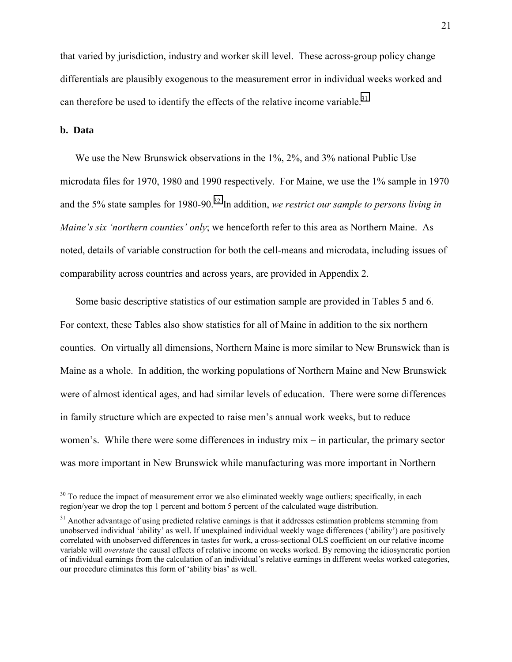that varied by jurisdiction, industry and worker skill level. These across-group policy change differentials are plausibly exogenous to the measurement error in individual weeks worked and can therefore be used to identify the effects of the relative income variable.<sup>31</sup>

## **b. Data**

We use the New Brunswick observations in the 1%, 2%, and 3% national Public Use microdata files for 1970, 1980 and 1990 respectively. For Maine, we use the 1% sample in 1970 and the 5% state samples for 1980-90.<sup>32</sup> In addition, *we restrict our sample to persons living in Maine's six 'northern counties' only*; we henceforth refer to this area as Northern Maine. As noted, details of variable construction for both the cell-means and microdata, including issues of comparability across countries and across years, are provided in Appendix 2.

Some basic descriptive statistics of our estimation sample are provided in Tables 5 and 6. For context, these Tables also show statistics for all of Maine in addition to the six northern counties. On virtually all dimensions, Northern Maine is more similar to New Brunswick than is Maine as a whole. In addition, the working populations of Northern Maine and New Brunswick were of almost identical ages, and had similar levels of education. There were some differences in family structure which are expected to raise men's annual work weeks, but to reduce women's. While there were some differences in industry mix – in particular, the primary sector was more important in New Brunswick while manufacturing was more important in Northern

 $30$  To reduce the impact of measurement error we also eliminated weekly wage outliers; specifically, in each region/year we drop the top 1 percent and bottom 5 percent of the calculated wage distribution.

<sup>&</sup>lt;sup>31</sup> Another advantage of using predicted relative earnings is that it addresses estimation problems stemming from unobserved individual 'ability' as well. If unexplained individual weekly wage differences ('ability') are positively correlated with unobserved differences in tastes for work, a cross-sectional OLS coefficient on our relative income variable will *overstate* the causal effects of relative income on weeks worked. By removing the idiosyncratic portion of individual earnings from the calculation of an individual's relative earnings in different weeks worked categories, our procedure eliminates this form of 'ability bias' as well.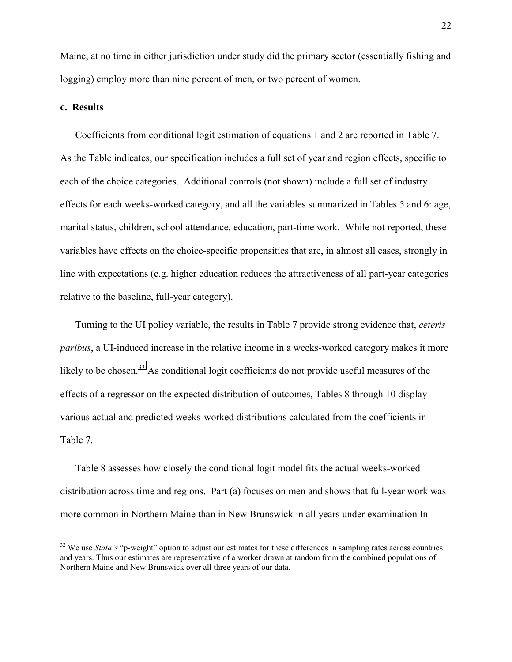Maine, at no time in either jurisdiction under study did the primary sector (essentially fishing and logging) employ more than nine percent of men, or two percent of women.

## **c. Results**

Coefficients from conditional logit estimation of equations 1 and 2 are reported in Table 7. As the Table indicates, our specification includes a full set of year and region effects, specific to each of the choice categories. Additional controls (not shown) include a full set of industry effects for each weeks-worked category, and all the variables summarized in Tables 5 and 6: age, marital status, children, school attendance, education, part-time work. While not reported, these variables have effects on the choice-specific propensities that are, in almost all cases, strongly in line with expectations (e.g. higher education reduces the attractiveness of all part-year categories relative to the baseline, full-year category).

Turning to the UI policy variable, the results in Table 7 provide strong evidence that, *ceteris paribus*, a UI-induced increase in the relative income in a weeks-worked category makes it more likely to be chosen.<sup>33</sup> As conditional logit coefficients do not provide useful measures of the effects of a regressor on the expected distribution of outcomes, Tables 8 through 10 display various actual and predicted weeks-worked distributions calculated from the coefficients in Table 7.

Table 8 assesses how closely the conditional logit model fits the actual weeks-worked distribution across time and regions. Part (a) focuses on men and shows that full-year work was more common in Northern Maine than in New Brunswick in all years under examination In

<sup>&</sup>lt;sup>32</sup> We use *Stata's* "p-weight" option to adjust our estimates for these differences in sampling rates across countries and years. Thus our estimates are representative of a worker drawn at random from the combined populations of Northern Maine and New Brunswick over all three years of our data.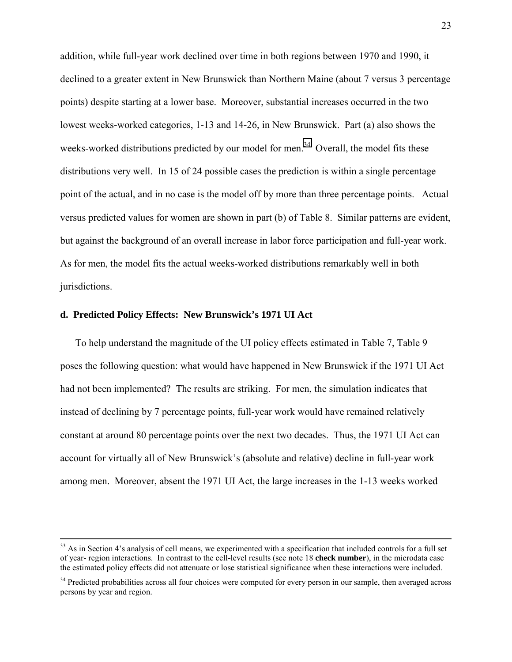addition, while full-year work declined over time in both regions between 1970 and 1990, it declined to a greater extent in New Brunswick than Northern Maine (about 7 versus 3 percentage points) despite starting at a lower base. Moreover, substantial increases occurred in the two lowest weeks-worked categories, 1-13 and 14-26, in New Brunswick. Part (a) also shows the weeks-worked distributions predicted by our model for men.<sup>34</sup> Overall, the model fits these distributions very well. In 15 of 24 possible cases the prediction is within a single percentage point of the actual, and in no case is the model off by more than three percentage points. Actual versus predicted values for women are shown in part (b) of Table 8. Similar patterns are evident, but against the background of an overall increase in labor force participation and full-year work. As for men, the model fits the actual weeks-worked distributions remarkably well in both jurisdictions.

### **d. Predicted Policy Effects: New Brunswick's 1971 UI Act**

To help understand the magnitude of the UI policy effects estimated in Table 7, Table 9 poses the following question: what would have happened in New Brunswick if the 1971 UI Act had not been implemented? The results are striking. For men, the simulation indicates that instead of declining by 7 percentage points, full-year work would have remained relatively constant at around 80 percentage points over the next two decades. Thus, the 1971 UI Act can account for virtually all of New Brunswick's (absolute and relative) decline in full-year work among men. Moreover, absent the 1971 UI Act, the large increases in the 1-13 weeks worked

 $33$  As in Section 4's analysis of cell means, we experimented with a specification that included controls for a full set of year- region interactions. In contrast to the cell-level results (see note 18 **check number**), in the microdata case the estimated policy effects did not attenuate or lose statistical significance when these interactions were included.

<sup>&</sup>lt;sup>34</sup> Predicted probabilities across all four choices were computed for every person in our sample, then averaged across persons by year and region.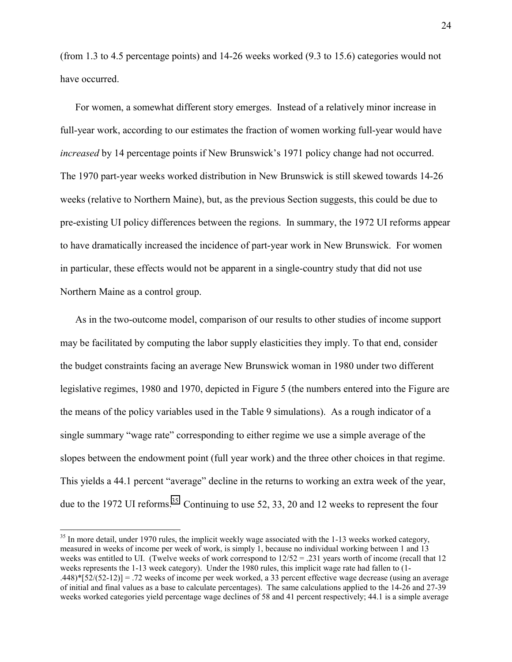(from 1.3 to 4.5 percentage points) and 14-26 weeks worked (9.3 to 15.6) categories would not have occurred.

For women, a somewhat different story emerges. Instead of a relatively minor increase in full-year work, according to our estimates the fraction of women working full-year would have *increased* by 14 percentage points if New Brunswick's 1971 policy change had not occurred. The 1970 part-year weeks worked distribution in New Brunswick is still skewed towards 14-26 weeks (relative to Northern Maine), but, as the previous Section suggests, this could be due to pre-existing UI policy differences between the regions. In summary, the 1972 UI reforms appear to have dramatically increased the incidence of part-year work in New Brunswick. For women in particular, these effects would not be apparent in a single-country study that did not use Northern Maine as a control group.

As in the two-outcome model, comparison of our results to other studies of income support may be facilitated by computing the labor supply elasticities they imply. To that end, consider the budget constraints facing an average New Brunswick woman in 1980 under two different legislative regimes, 1980 and 1970, depicted in Figure 5 (the numbers entered into the Figure are the means of the policy variables used in the Table 9 simulations). As a rough indicator of a single summary "wage rate" corresponding to either regime we use a simple average of the slopes between the endowment point (full year work) and the three other choices in that regime. This yields a 44.1 percent "average" decline in the returns to working an extra week of the year, due to the 1972 UI reforms.<sup>35</sup> Continuing to use 52, 33, 20 and 12 weeks to represent the four

<sup>&</sup>lt;sup>35</sup> In more detail, under 1970 rules, the implicit weekly wage associated with the 1-13 weeks worked category, measured in weeks of income per week of work, is simply 1, because no individual working between 1 and 13 weeks was entitled to UI. (Twelve weeks of work correspond to 12/52 = .231 years worth of income (recall that 12 weeks represents the 1-13 week category). Under the 1980 rules, this implicit wage rate had fallen to (1- .448)\* $[52/(52-12)] = .72$  weeks of income per week worked, a 33 percent effective wage decrease (using an average of initial and final values as a base to calculate percentages). The same calculations applied to the 14-26 and 27-39 weeks worked categories yield percentage wage declines of 58 and 41 percent respectively; 44.1 is a simple average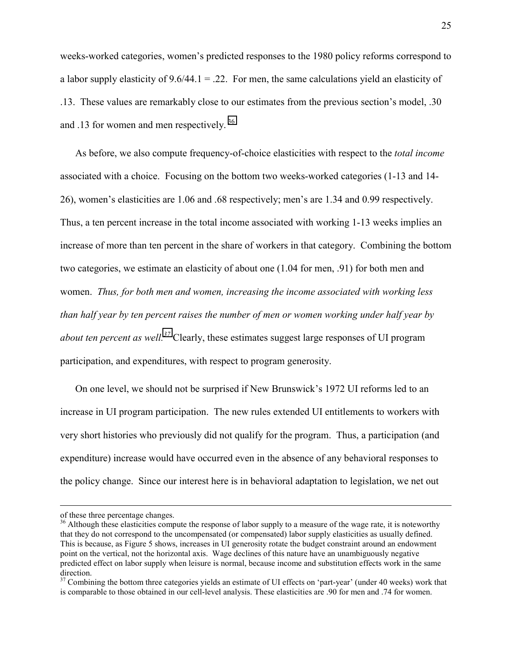weeks-worked categories, women's predicted responses to the 1980 policy reforms correspond to a labor supply elasticity of  $9.6/44.1 = .22$ . For men, the same calculations yield an elasticity of .13. These values are remarkably close to our estimates from the previous section's model, .30 and .13 for women and men respectively.<sup>36</sup>

As before, we also compute frequency-of-choice elasticities with respect to the *total income* associated with a choice. Focusing on the bottom two weeks-worked categories (1-13 and 14- 26), women's elasticities are 1.06 and .68 respectively; men's are 1.34 and 0.99 respectively. Thus, a ten percent increase in the total income associated with working 1-13 weeks implies an increase of more than ten percent in the share of workers in that category. Combining the bottom two categories, we estimate an elasticity of about one (1.04 for men, .91) for both men and women. *Thus, for both men and women, increasing the income associated with working less than half year by ten percent raises the number of men or women working under half year by about ten percent as well.37* Clearly, these estimates suggest large responses of UI program participation, and expenditures, with respect to program generosity.

On one level, we should not be surprised if New Brunswick's 1972 UI reforms led to an increase in UI program participation. The new rules extended UI entitlements to workers with very short histories who previously did not qualify for the program. Thus, a participation (and expenditure) increase would have occurred even in the absence of any behavioral responses to the policy change. Since our interest here is in behavioral adaptation to legislation, we net out

of these three percentage changes.

<sup>&</sup>lt;sup>36</sup> Although these elasticities compute the response of labor supply to a measure of the wage rate, it is noteworthy that they do not correspond to the uncompensated (or compensated) labor supply elasticities as usually defined. This is because, as Figure 5 shows, increases in UI generosity rotate the budget constraint around an endowment point on the vertical, not the horizontal axis. Wage declines of this nature have an unambiguously negative predicted effect on labor supply when leisure is normal, because income and substitution effects work in the same direction.

 $37$  Combining the bottom three categories yields an estimate of UI effects on 'part-year' (under 40 weeks) work that is comparable to those obtained in our cell-level analysis. These elasticities are .90 for men and .74 for women.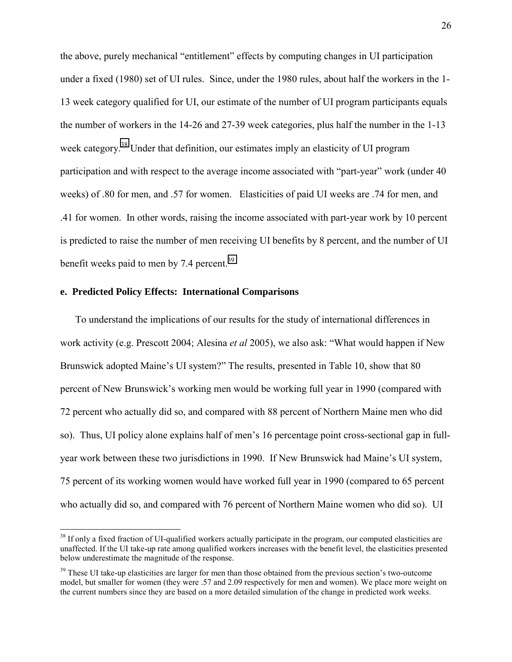the above, purely mechanical "entitlement" effects by computing changes in UI participation under a fixed (1980) set of UI rules. Since, under the 1980 rules, about half the workers in the 1- 13 week category qualified for UI, our estimate of the number of UI program participants equals the number of workers in the 14-26 and 27-39 week categories, plus half the number in the 1-13 week category.<sup>38</sup> Under that definition, our estimates imply an elasticity of UI program participation and with respect to the average income associated with "part-year" work (under 40 weeks) of .80 for men, and .57 for women. Elasticities of paid UI weeks are .74 for men, and .41 for women. In other words, raising the income associated with part-year work by 10 percent is predicted to raise the number of men receiving UI benefits by 8 percent, and the number of UI benefit weeks paid to men by 7.4 percent.<sup>39</sup>

## **e. Predicted Policy Effects: International Comparisons**

 $\overline{a}$ 

To understand the implications of our results for the study of international differences in work activity (e.g. Prescott 2004; Alesina *et al* 2005), we also ask: "What would happen if New Brunswick adopted Maine's UI system?" The results, presented in Table 10, show that 80 percent of New Brunswick's working men would be working full year in 1990 (compared with 72 percent who actually did so, and compared with 88 percent of Northern Maine men who did so). Thus, UI policy alone explains half of men's 16 percentage point cross-sectional gap in fullyear work between these two jurisdictions in 1990. If New Brunswick had Maine's UI system, 75 percent of its working women would have worked full year in 1990 (compared to 65 percent who actually did so, and compared with 76 percent of Northern Maine women who did so). UI

<sup>&</sup>lt;sup>38</sup> If only a fixed fraction of UI-qualified workers actually participate in the program, our computed elasticities are unaffected. If the UI take-up rate among qualified workers increases with the benefit level, the elasticities presented below underestimate the magnitude of the response.

<sup>&</sup>lt;sup>39</sup> These UI take-up elasticities are larger for men than those obtained from the previous section's two-outcome model, but smaller for women (they were .57 and 2.09 respectively for men and women). We place more weight on the current numbers since they are based on a more detailed simulation of the change in predicted work weeks.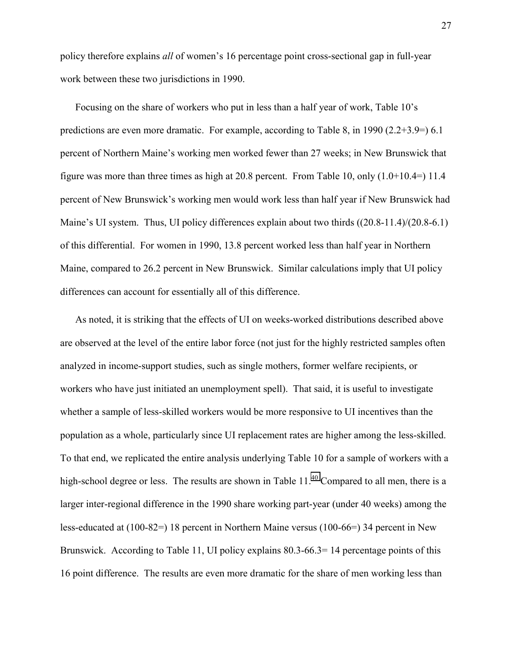policy therefore explains *all* of women's 16 percentage point cross-sectional gap in full-year work between these two jurisdictions in 1990.

Focusing on the share of workers who put in less than a half year of work, Table 10's predictions are even more dramatic. For example, according to Table 8, in 1990 (2.2+3.9=) 6.1 percent of Northern Maine's working men worked fewer than 27 weeks; in New Brunswick that figure was more than three times as high at 20.8 percent. From Table 10, only  $(1.0+10.4=)$  11.4 percent of New Brunswick's working men would work less than half year if New Brunswick had Maine's UI system. Thus, UI policy differences explain about two thirds ((20.8-11.4)/(20.8-6.1) of this differential. For women in 1990, 13.8 percent worked less than half year in Northern Maine, compared to 26.2 percent in New Brunswick. Similar calculations imply that UI policy differences can account for essentially all of this difference.

As noted, it is striking that the effects of UI on weeks-worked distributions described above are observed at the level of the entire labor force (not just for the highly restricted samples often analyzed in income-support studies, such as single mothers, former welfare recipients, or workers who have just initiated an unemployment spell). That said, it is useful to investigate whether a sample of less-skilled workers would be more responsive to UI incentives than the population as a whole, particularly since UI replacement rates are higher among the less-skilled. To that end, we replicated the entire analysis underlying Table 10 for a sample of workers with a high-school degree or less. The results are shown in Table  $11<sup>40</sup>$  Compared to all men, there is a larger inter-regional difference in the 1990 share working part-year (under 40 weeks) among the less-educated at (100-82=) 18 percent in Northern Maine versus (100-66=) 34 percent in New Brunswick. According to Table 11, UI policy explains 80.3-66.3=14 percentage points of this 16 point difference. The results are even more dramatic for the share of men working less than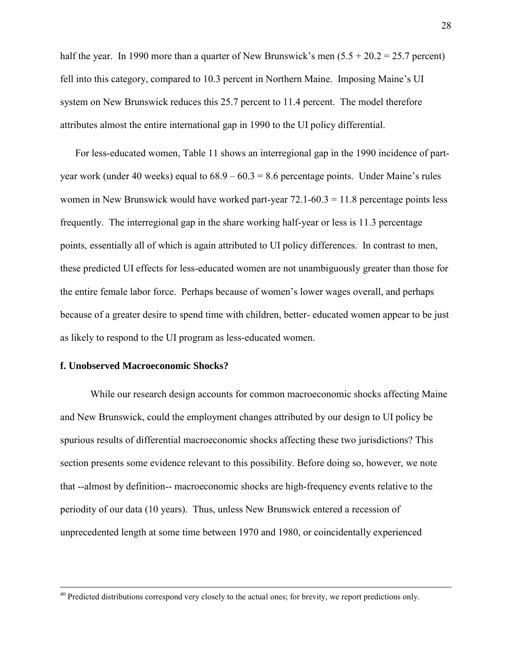half the year. In 1990 more than a quarter of New Brunswick's men  $(5.5 + 20.2 = 25.7$  percent) fell into this category, compared to 10.3 percent in Northern Maine. Imposing Maine's UI system on New Brunswick reduces this 25.7 percent to 11.4 percent. The model therefore attributes almost the entire international gap in 1990 to the UI policy differential.

For less-educated women, Table 11 shows an interregional gap in the 1990 incidence of partyear work (under 40 weeks) equal to  $68.9 - 60.3 = 8.6$  percentage points. Under Maine's rules women in New Brunswick would have worked part-year  $72.1-60.3 = 11.8$  percentage points less frequently. The interregional gap in the share working half-year or less is 11.3 percentage points, essentially all of which is again attributed to UI policy differences. In contrast to men, these predicted UI effects for less-educated women are not unambiguously greater than those for the entire female labor force. Perhaps because of women's lower wages overall, and perhaps because of a greater desire to spend time with children, better- educated women appear to be just as likely to respond to the UI program as less-educated women.

## **f. Unobserved Macroeconomic Shocks?**

 While our research design accounts for common macroeconomic shocks affecting Maine and New Brunswick, could the employment changes attributed by our design to UI policy be spurious results of differential macroeconomic shocks affecting these two jurisdictions? This section presents some evidence relevant to this possibility. Before doing so, however, we note that --almost by definition-- macroeconomic shocks are high-frequency events relative to the periodity of our data (10 years). Thus, unless New Brunswick entered a recession of unprecedented length at some time between 1970 and 1980, or coincidentally experienced

<sup>&</sup>lt;sup>40</sup> Predicted distributions correspond very closely to the actual ones; for brevity, we report predictions only.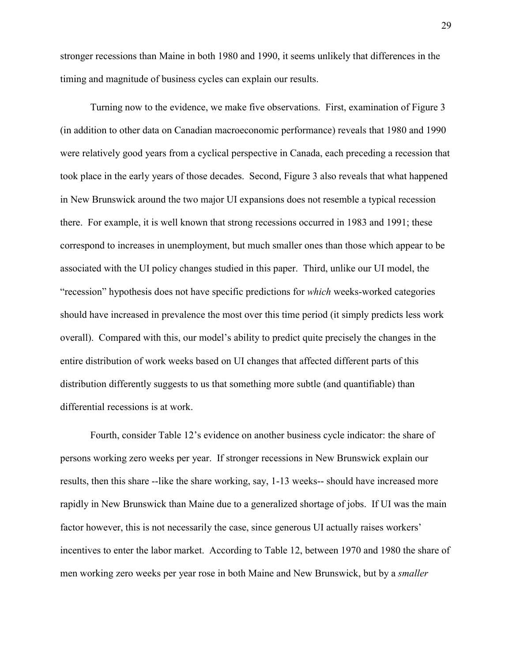stronger recessions than Maine in both 1980 and 1990, it seems unlikely that differences in the timing and magnitude of business cycles can explain our results.

 Turning now to the evidence, we make five observations. First, examination of Figure 3 (in addition to other data on Canadian macroeconomic performance) reveals that 1980 and 1990 were relatively good years from a cyclical perspective in Canada, each preceding a recession that took place in the early years of those decades. Second, Figure 3 also reveals that what happened in New Brunswick around the two major UI expansions does not resemble a typical recession there. For example, it is well known that strong recessions occurred in 1983 and 1991; these correspond to increases in unemployment, but much smaller ones than those which appear to be associated with the UI policy changes studied in this paper. Third, unlike our UI model, the "recession" hypothesis does not have specific predictions for *which* weeks-worked categories should have increased in prevalence the most over this time period (it simply predicts less work overall). Compared with this, our model's ability to predict quite precisely the changes in the entire distribution of work weeks based on UI changes that affected different parts of this distribution differently suggests to us that something more subtle (and quantifiable) than differential recessions is at work.

 Fourth, consider Table 12's evidence on another business cycle indicator: the share of persons working zero weeks per year. If stronger recessions in New Brunswick explain our results, then this share --like the share working, say, 1-13 weeks-- should have increased more rapidly in New Brunswick than Maine due to a generalized shortage of jobs. If UI was the main factor however, this is not necessarily the case, since generous UI actually raises workers' incentives to enter the labor market. According to Table 12, between 1970 and 1980 the share of men working zero weeks per year rose in both Maine and New Brunswick, but by a *smaller*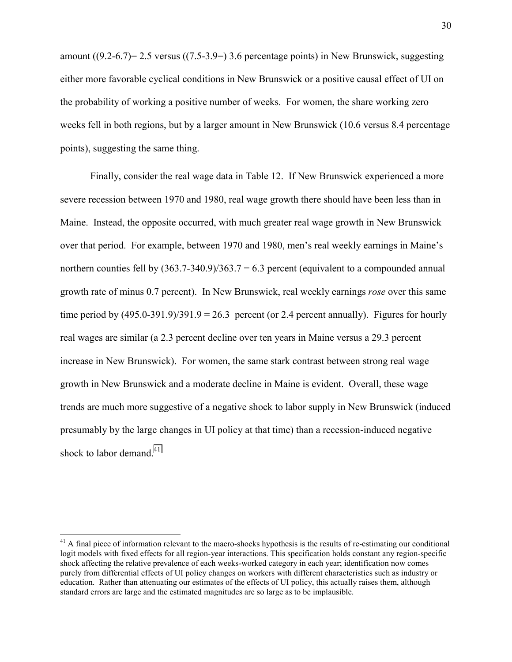amount  $((9.2-6.7)= 2.5$  versus  $((7.5-3.9=) 3.6$  percentage points) in New Brunswick, suggesting either more favorable cyclical conditions in New Brunswick or a positive causal effect of UI on the probability of working a positive number of weeks. For women, the share working zero weeks fell in both regions, but by a larger amount in New Brunswick (10.6 versus 8.4 percentage points), suggesting the same thing.

 Finally, consider the real wage data in Table 12. If New Brunswick experienced a more severe recession between 1970 and 1980, real wage growth there should have been less than in Maine. Instead, the opposite occurred, with much greater real wage growth in New Brunswick over that period. For example, between 1970 and 1980, men's real weekly earnings in Maine's northern counties fell by  $(363.7-340.9)/363.7 = 6.3$  percent (equivalent to a compounded annual growth rate of minus 0.7 percent). In New Brunswick, real weekly earnings *rose* over this same time period by  $(495.0-391.9)/391.9 = 26.3$  percent (or 2.4 percent annually). Figures for hourly real wages are similar (a 2.3 percent decline over ten years in Maine versus a 29.3 percent increase in New Brunswick). For women, the same stark contrast between strong real wage growth in New Brunswick and a moderate decline in Maine is evident. Overall, these wage trends are much more suggestive of a negative shock to labor supply in New Brunswick (induced presumably by the large changes in UI policy at that time) than a recession-induced negative shock to labor demand. $41$ 

 $41$  A final piece of information relevant to the macro-shocks hypothesis is the results of re-estimating our conditional logit models with fixed effects for all region-year interactions. This specification holds constant any region-specific shock affecting the relative prevalence of each weeks-worked category in each year; identification now comes purely from differential effects of UI policy changes on workers with different characteristics such as industry or education. Rather than attenuating our estimates of the effects of UI policy, this actually raises them, although standard errors are large and the estimated magnitudes are so large as to be implausible.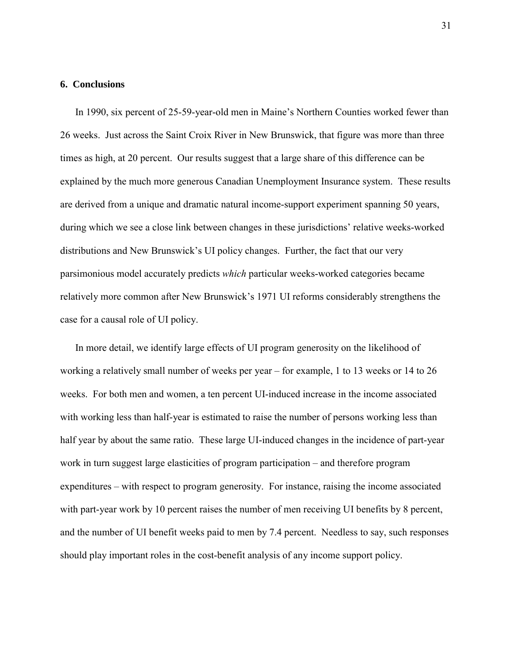### **6. Conclusions**

In 1990, six percent of 25-59-year-old men in Maine's Northern Counties worked fewer than 26 weeks. Just across the Saint Croix River in New Brunswick, that figure was more than three times as high, at 20 percent. Our results suggest that a large share of this difference can be explained by the much more generous Canadian Unemployment Insurance system. These results are derived from a unique and dramatic natural income-support experiment spanning 50 years, during which we see a close link between changes in these jurisdictions' relative weeks-worked distributions and New Brunswick's UI policy changes. Further, the fact that our very parsimonious model accurately predicts *which* particular weeks-worked categories became relatively more common after New Brunswick's 1971 UI reforms considerably strengthens the case for a causal role of UI policy.

In more detail, we identify large effects of UI program generosity on the likelihood of working a relatively small number of weeks per year – for example, 1 to 13 weeks or 14 to 26 weeks. For both men and women, a ten percent UI-induced increase in the income associated with working less than half-year is estimated to raise the number of persons working less than half year by about the same ratio. These large UI-induced changes in the incidence of part-year work in turn suggest large elasticities of program participation – and therefore program expenditures – with respect to program generosity. For instance, raising the income associated with part-year work by 10 percent raises the number of men receiving UI benefits by 8 percent, and the number of UI benefit weeks paid to men by 7.4 percent. Needless to say, such responses should play important roles in the cost-benefit analysis of any income support policy.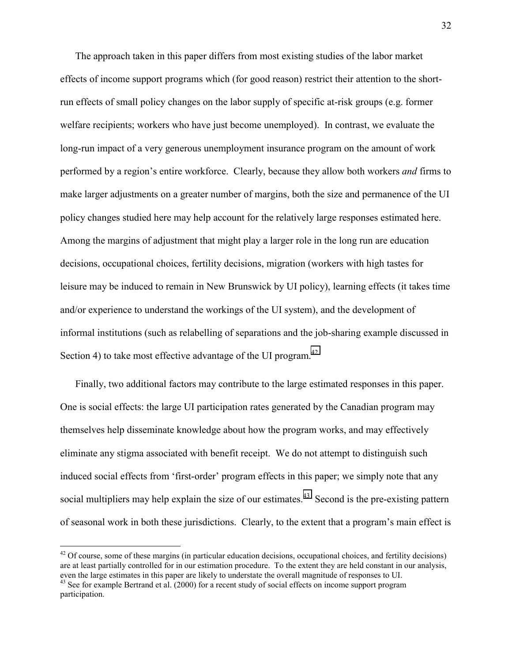The approach taken in this paper differs from most existing studies of the labor market effects of income support programs which (for good reason) restrict their attention to the shortrun effects of small policy changes on the labor supply of specific at-risk groups (e.g. former welfare recipients; workers who have just become unemployed). In contrast, we evaluate the long-run impact of a very generous unemployment insurance program on the amount of work performed by a region's entire workforce. Clearly, because they allow both workers *and* firms to make larger adjustments on a greater number of margins, both the size and permanence of the UI policy changes studied here may help account for the relatively large responses estimated here. Among the margins of adjustment that might play a larger role in the long run are education decisions, occupational choices, fertility decisions, migration (workers with high tastes for leisure may be induced to remain in New Brunswick by UI policy), learning effects (it takes time and/or experience to understand the workings of the UI system), and the development of informal institutions (such as relabelling of separations and the job-sharing example discussed in Section 4) to take most effective advantage of the UI program. $^{42}$ 

Finally, two additional factors may contribute to the large estimated responses in this paper. One is social effects: the large UI participation rates generated by the Canadian program may themselves help disseminate knowledge about how the program works, and may effectively eliminate any stigma associated with benefit receipt. We do not attempt to distinguish such induced social effects from 'first-order' program effects in this paper; we simply note that any social multipliers may help explain the size of our estimates.<sup>43</sup> Second is the pre-existing pattern of seasonal work in both these jurisdictions. Clearly, to the extent that a program's main effect is

 $42$  Of course, some of these margins (in particular education decisions, occupational choices, and fertility decisions) are at least partially controlled for in our estimation procedure. To the extent they are held constant in our analysis, even the large estimates in this paper are likely to understate the overall magnitude of responses to UI.

<sup>&</sup>lt;sup>43</sup> See for example Bertrand et al. (2000) for a recent study of social effects on income support program participation.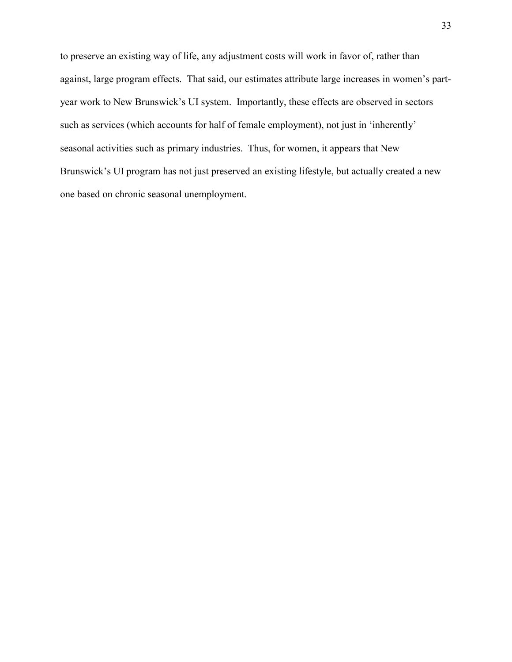to preserve an existing way of life, any adjustment costs will work in favor of, rather than against, large program effects. That said, our estimates attribute large increases in women's partyear work to New Brunswick's UI system. Importantly, these effects are observed in sectors such as services (which accounts for half of female employment), not just in 'inherently' seasonal activities such as primary industries. Thus, for women, it appears that New Brunswick's UI program has not just preserved an existing lifestyle, but actually created a new one based on chronic seasonal unemployment.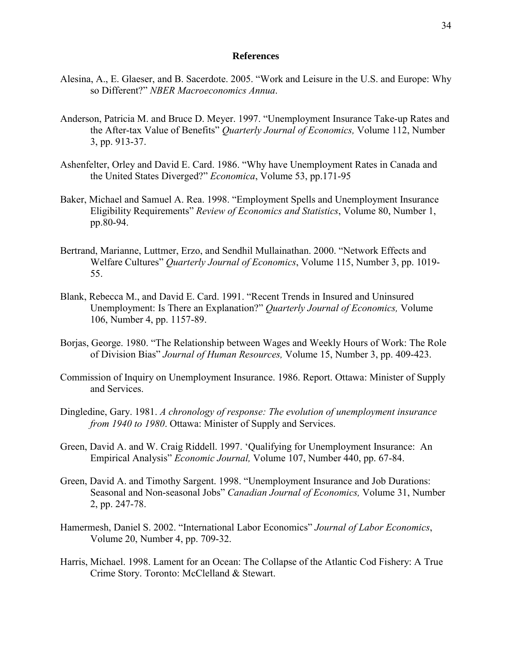### **References**

- Alesina, A., E. Glaeser, and B. Sacerdote. 2005. "Work and Leisure in the U.S. and Europe: Why so Different?" *NBER Macroeconomics Annua*.
- Anderson, Patricia M. and Bruce D. Meyer. 1997. "Unemployment Insurance Take-up Rates and the After-tax Value of Benefits" *Quarterly Journal of Economics,* Volume 112, Number 3, pp. 913-37.
- Ashenfelter, Orley and David E. Card. 1986. "Why have Unemployment Rates in Canada and the United States Diverged?" *Economica*, Volume 53, pp.171-95
- Baker, Michael and Samuel A. Rea. 1998. "Employment Spells and Unemployment Insurance Eligibility Requirements" *Review of Economics and Statistics*, Volume 80, Number 1, pp.80-94.
- Bertrand, Marianne, Luttmer, Erzo, and Sendhil Mullainathan. 2000. "Network Effects and Welfare Cultures" *Quarterly Journal of Economics*, Volume 115, Number 3, pp. 1019- 55.
- Blank, Rebecca M., and David E. Card. 1991. "Recent Trends in Insured and Uninsured Unemployment: Is There an Explanation?" *Quarterly Journal of Economics,* Volume 106, Number 4, pp. 1157-89.
- Borjas, George. 1980. "The Relationship between Wages and Weekly Hours of Work: The Role of Division Bias" *Journal of Human Resources,* Volume 15, Number 3, pp. 409-423.
- Commission of Inquiry on Unemployment Insurance. 1986. Report. Ottawa: Minister of Supply and Services.
- Dingledine, Gary. 1981. *A chronology of response: The evolution of unemployment insurance from 1940 to 1980*. Ottawa: Minister of Supply and Services.
- Green, David A. and W. Craig Riddell. 1997. 'Qualifying for Unemployment Insurance: An Empirical Analysis" *Economic Journal,* Volume 107, Number 440, pp. 67-84.
- Green, David A. and Timothy Sargent. 1998. "Unemployment Insurance and Job Durations: Seasonal and Non-seasonal Jobs" *Canadian Journal of Economics,* Volume 31, Number 2, pp. 247-78.
- Hamermesh, Daniel S. 2002. "International Labor Economics" *Journal of Labor Economics*, Volume 20, Number 4, pp. 709-32.
- Harris, Michael. 1998. Lament for an Ocean: The Collapse of the Atlantic Cod Fishery: A True Crime Story. Toronto: McClelland & Stewart.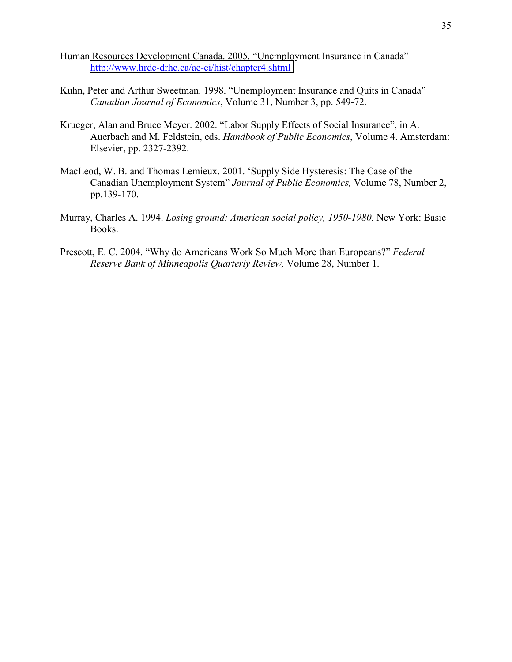- Human Resources Development Canada. 2005. "Unemployment Insurance in Canada" <http://www.hrdc-drhc.ca/ae-ei/hist/chapter4.shtml>
- Kuhn, Peter and Arthur Sweetman. 1998. "Unemployment Insurance and Quits in Canada" *Canadian Journal of Economics*, Volume 31, Number 3, pp. 549-72.
- Krueger, Alan and Bruce Meyer. 2002. "Labor Supply Effects of Social Insurance", in A. Auerbach and M. Feldstein, eds. *Handbook of Public Economics*, Volume 4. Amsterdam: Elsevier, pp. 2327-2392.
- MacLeod, W. B. and Thomas Lemieux. 2001. 'Supply Side Hysteresis: The Case of the Canadian Unemployment System" *Journal of Public Economics,* Volume 78, Number 2, pp.139-170.
- Murray, Charles A. 1994. *Losing ground: American social policy, 1950-1980.* New York: Basic Books.
- Prescott, E. C. 2004. "Why do Americans Work So Much More than Europeans?" *Federal Reserve Bank of Minneapolis Quarterly Review,* Volume 28, Number 1.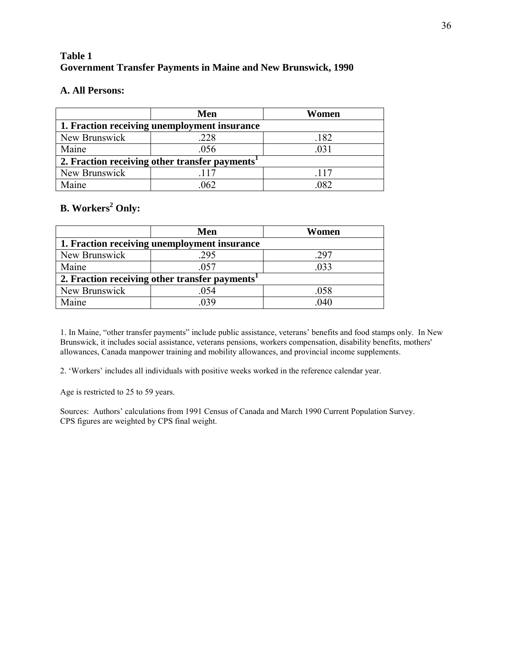# **Table 1 Government Transfer Payments in Maine and New Brunswick, 1990**

## **A. All Persons:**

|                                                            | Men  | Women |  |  |  |  |
|------------------------------------------------------------|------|-------|--|--|--|--|
| 1. Fraction receiving unemployment insurance               |      |       |  |  |  |  |
| New Brunswick                                              | .228 | .182  |  |  |  |  |
| Maine                                                      | .056 | .031  |  |  |  |  |
| 2. Fraction receiving other transfer payments <sup>1</sup> |      |       |  |  |  |  |
| New Brunswick                                              | 117  | -117  |  |  |  |  |
| Maine                                                      | 062  | 082   |  |  |  |  |

# **B. Workers<sup>2</sup> Only:**

|                                                            | Men  | Women |  |  |  |  |
|------------------------------------------------------------|------|-------|--|--|--|--|
| 1. Fraction receiving unemployment insurance               |      |       |  |  |  |  |
| New Brunswick                                              | .295 | -297  |  |  |  |  |
| Maine                                                      | .057 | .033  |  |  |  |  |
| 2. Fraction receiving other transfer payments <sup>1</sup> |      |       |  |  |  |  |
| New Brunswick                                              | .054 | .058  |  |  |  |  |
| Maine                                                      | 039  | .040  |  |  |  |  |

1. In Maine, "other transfer payments" include public assistance, veterans' benefits and food stamps only. In New Brunswick, it includes social assistance, veterans pensions, workers compensation, disability benefits, mothers' allowances, Canada manpower training and mobility allowances, and provincial income supplements.

2. 'Workers' includes all individuals with positive weeks worked in the reference calendar year.

Age is restricted to 25 to 59 years.

Sources: Authors' calculations from 1991 Census of Canada and March 1990 Current Population Survey. CPS figures are weighted by CPS final weight.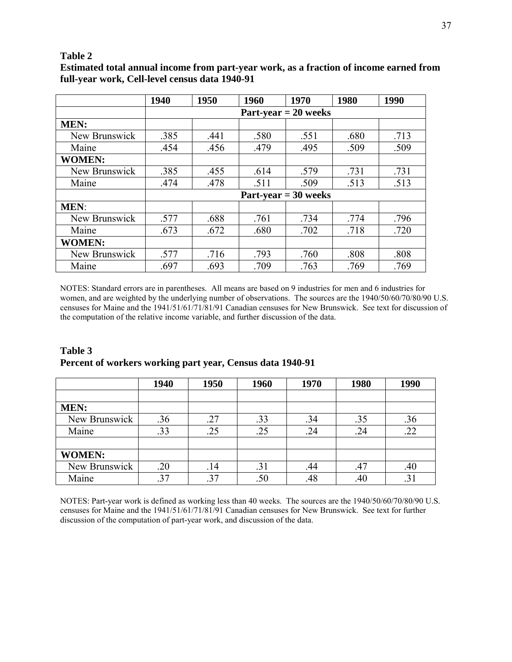## **Table 2**

|               | 1940 | 1950 | 1960 | 1970                          | 1980 | 1990 |
|---------------|------|------|------|-------------------------------|------|------|
|               |      |      |      | $Part-year = 20 weeks$        |      |      |
| <b>MEN:</b>   |      |      |      |                               |      |      |
| New Brunswick | .385 | .441 | .580 | .551                          | .680 | .713 |
| Maine         | .454 | .456 | .479 | .495                          | .509 | .509 |
| <b>WOMEN:</b> |      |      |      |                               |      |      |
| New Brunswick | .385 | .455 | .614 | .579                          | .731 | .731 |
| Maine         | .474 | .478 | .511 | .509                          | .513 | .513 |
|               |      |      |      | $Part\text{-}year = 30 weeks$ |      |      |
| <b>MEN:</b>   |      |      |      |                               |      |      |
| New Brunswick | .577 | .688 | .761 | .734                          | .774 | .796 |
| Maine         | .673 | .672 | .680 | .702                          | .718 | .720 |
| <b>WOMEN:</b> |      |      |      |                               |      |      |
| New Brunswick | .577 | .716 | .793 | .760                          | .808 | .808 |
| Maine         | .697 | .693 | .709 | .763                          | .769 | .769 |

**Estimated total annual income from part-year work, as a fraction of income earned from full-year work, Cell-level census data 1940-91**

NOTES: Standard errors are in parentheses. All means are based on 9 industries for men and 6 industries for women, and are weighted by the underlying number of observations. The sources are the 1940/50/60/70/80/90 U.S. censuses for Maine and the 1941/51/61/71/81/91 Canadian censuses for New Brunswick. See text for discussion of the computation of the relative income variable, and further discussion of the data.

| Table 3                                                   |  |
|-----------------------------------------------------------|--|
| Percent of workers working part year, Census data 1940-91 |  |

|               | 1940 | 1950 | 1960 | 1970 | 1980 | 1990 |
|---------------|------|------|------|------|------|------|
|               |      |      |      |      |      |      |
| <b>MEN:</b>   |      |      |      |      |      |      |
| New Brunswick | .36  | .27  | .33  | .34  | .35  | .36  |
| Maine         | .33  | .25  | .25  | .24  | .24  | .22  |
|               |      |      |      |      |      |      |
| <b>WOMEN:</b> |      |      |      |      |      |      |
| New Brunswick | .20  | .14  | .31  | .44  | .47  | .40  |
| Maine         | .37  | .37  | .50  | .48  | .40  | .31  |

NOTES: Part-year work is defined as working less than 40 weeks. The sources are the 1940/50/60/70/80/90 U.S. censuses for Maine and the 1941/51/61/71/81/91 Canadian censuses for New Brunswick. See text for further discussion of the computation of part-year work, and discussion of the data.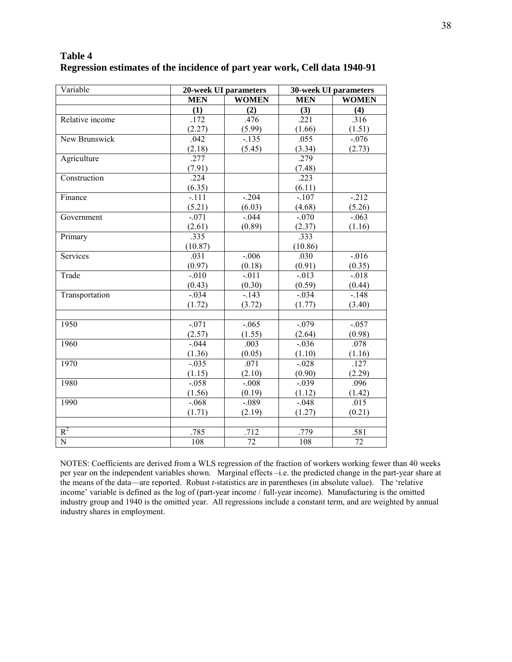| Table 4                                                                    |  |
|----------------------------------------------------------------------------|--|
| Regression estimates of the incidence of part year work, Cell data 1940-91 |  |

| Variable        | 20-week UI parameters |              | <b>30-week UI parameters</b> |              |  |
|-----------------|-----------------------|--------------|------------------------------|--------------|--|
|                 | <b>MEN</b>            | <b>WOMEN</b> | <b>MEN</b>                   | <b>WOMEN</b> |  |
|                 | (1)                   | (2)          | (3)                          | (4)          |  |
| Relative income | .172                  | .476         | .221                         | .316         |  |
|                 | (2.27)                | (5.99)       | (1.66)                       | (1.51)       |  |
| New Brunswick   | .042                  | $-.135$      | .055                         | $-.076$      |  |
|                 | (2.18)                | (5.45)       | (3.34)                       | (2.73)       |  |
| Agriculture     | .277                  |              | .279                         |              |  |
|                 | (7.91)                |              | (7.48)                       |              |  |
| Construction    | .224                  |              | .223                         |              |  |
|                 | (6.35)                |              | (6.11)                       |              |  |
| Finance         | $-.111$               | $-.204$      | $-.107$                      | $-212$       |  |
|                 | (5.21)                | (6.03)       | (4.68)                       | (5.26)       |  |
| Government      | $-.071$               | $-.044$      | $-.070$                      | $-.063$      |  |
|                 | (2.61)                | (0.89)       | (2.37)                       | (1.16)       |  |
| Primary         | .335                  |              | .333                         |              |  |
|                 | (10.87)               |              | (10.86)                      |              |  |
| Services        | .031                  | $-.006$      | .030                         | $-0.016$     |  |
|                 | (0.97)                | (0.18)       | (0.91)                       | (0.35)       |  |
| Trade           | $-0.010$              | $-.011$      | $-0.013$                     | $-0.018$     |  |
|                 | (0.43)                | (0.30)       | (0.59)                       | (0.44)       |  |
| Transportation  | $-.034$               | $-.143$      | $-.034$                      | $-.148$      |  |
|                 | (1.72)                | (3.72)       | (1.77)                       | (3.40)       |  |
|                 |                       |              |                              |              |  |
| 1950            | $-.071$               | $-.065$      | $-.079$                      | $-.057$      |  |
|                 | (2.57)                | (1.55)       | (2.64)                       | (0.98)       |  |
| 1960            | $-0.044$              | .003         | $-0.036$                     | .078         |  |
|                 | (1.36)                | (0.05)       | (1.10)                       | (1.16)       |  |
| 1970            | $-.035$               | .071         | $-.028$                      | .127         |  |
|                 | (1.15)                | (2.10)       | (0.90)                       | (2.29)       |  |
| 1980            | $-.058$               | $-.008$      | $-.039$                      | .096         |  |
|                 | (1.56)                | (0.19)       | (1.12)                       | (1.42)       |  |
| 1990            | $-.068$               | $-.089$      | $-.048$                      | .015         |  |
|                 | (1.71)                | (2.19)       | (1.27)                       | (0.21)       |  |
|                 |                       |              |                              |              |  |
| $R^2$           | .785                  | .712         | .779                         | .581         |  |
| $\overline{N}$  | 108                   | 72           | 108                          | 72           |  |

NOTES: Coefficients are derived from a WLS regression of the fraction of workers working fewer than 40 weeks per year on the independent variables shown. Marginal effects –i.e. the predicted change in the part-year share at the means of the data—are reported. Robust *t*-statistics are in parentheses (in absolute value). The 'relative income' variable is defined as the log of (part-year income / full-year income). Manufacturing is the omitted industry group and 1940 is the omitted year. All regressions include a constant term, and are weighted by annual industry shares in employment.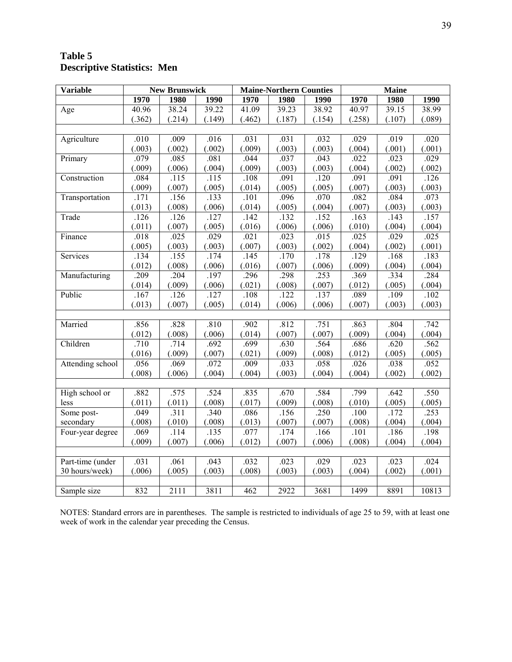# **Table 5 Descriptive Statistics: Men**

| <b>Variable</b>  |                  | <b>New Brunswick</b> |        |        | <b>Maine-Northern Counties</b> |        |        | <b>Maine</b> |        |
|------------------|------------------|----------------------|--------|--------|--------------------------------|--------|--------|--------------|--------|
|                  | 1970             | 1980                 | 1990   | 1970   | 1980                           | 1990   | 1970   | 1980         | 1990   |
| Age              | 40.96            | 38.24                | 39.22  | 41.09  | 39.23                          | 38.92  | 40.97  | 39.15        | 38.99  |
|                  | (.362)           | (.214)               | (.149) | (.462) | (.187)                         | (.154) | (.258) | (.107)       | (.089) |
|                  |                  |                      |        |        |                                |        |        |              |        |
| Agriculture      | .010             | .009                 | .016   | .031   | .031                           | .032   | .029   | .019         | .020   |
|                  | (.003)           | (.002)               | (.002) | (.009) | (.003)                         | (.003) | (.004) | (.001)       | (.001) |
| Primary          | .079             | .085                 | .081   | .044   | .037                           | .043   | .022   | .023         | .029   |
|                  | (.009)           | (.006)               | (.004) | (.009) | (.003)                         | (.003) | (.004) | (.002)       | (.002) |
| Construction     | .084             | .115                 | .115   | .108   | .091                           | .120   | .091   | .091         | .126   |
|                  | (.009)           | (.007)               | (.005) | (.014) | (.005)                         | (.005) | (.007) | (.003)       | (.003) |
| Transportation   | .171             | .156                 | .133   | .101   | .096                           | .070   | .082   | .084         | .073   |
|                  | (.013)           | (.008)               | (.006) | (.014) | (.005)                         | (.004) | (.007) | (.003)       | (.003) |
| Trade            | .126             | .126                 | .127   | $-142$ | .132                           | .152   | .163   | .143         | .157   |
|                  | (.011)           | (.007)               | (.005) | (.016) | (.006)                         | (.006) | (.010) | (.004)       | (.004) |
| Finance          | .018             | .025                 | .029   | .021   | .023                           | .015   | .025   | .029         | .025   |
|                  | (.005)           | (.003)               | (.003) | (.007) | (.003)                         | (.002) | (.004) | (.002)       | (.001) |
| Services         | .134             | .155                 | .174   | .145   | $\overline{.}170$              | .178   | .129   | .168         | .183   |
|                  | (.012)           | (.008)               | (.006) | (.016) | (.007)                         | (.006) | (.009) | (.004)       | (.004) |
| Manufacturing    | .209             | .204                 | .197   | .296   | .298                           | .253   | .369   | .334         | .284   |
|                  | (.014)           | (.009)               | (.006) | (.021) | (.008)                         | (.007) | (.012) | (.005)       | (.004) |
| Public           | .167             | .126                 | .127   | .108   | .122                           | .137   | .089   | .109         | .102   |
|                  | (.013)           | (.007)               | (.005) | (.014) | (.006)                         | (.006) | (.007) | (.003)       | (.003) |
|                  |                  |                      |        |        |                                |        |        |              |        |
| Married          | .856             | .828                 | .810   | .902   | .812                           | .751   | .863   | .804         | .742   |
|                  | (.012)           | (.008)               | (.006) | (.014) | (.007)                         | (.007) | (.009) | (.004)       | (.004) |
| Children         | .710             | .714                 | .692   | .699   | .630                           | .564   | .686   | .620         | .562   |
|                  | (.016)           | (.009)               | (.007) | (.021) | (.009)                         | (.008) | (.012) | (.005)       | (.005) |
| Attending school | .056             | .069                 | .072   | .009   | .033                           | .058   | .026   | .038         | .052   |
|                  | (.008)           | (.006)               | (.004) | (.004) | (.003)                         | (.004) | (.004) | (.002)       | (.002) |
|                  |                  |                      |        |        |                                |        |        |              |        |
| High school or   | .882             | .575                 | .524   | .835   | .670                           | .584   | .799   | .642         | .550   |
| less             | (.011)           | (.011)               | (.008) | (.017) | (.009)                         | (.008) | (.010) | (.005)       | (.005) |
| Some post-       | .049             | .311                 | .340   | .086   | .156                           | .250   | .100   | .172         | .253   |
| secondary        | (.008)           | (.010)               | (.008) | (.013) | (.007)                         | (.007) | (.008) | (.004)       | (.004) |
| Four-year degree | .069             | .114                 | .135   | .077   | .174                           | .166   | .101   | .186         | .198   |
|                  | (.009)           | (.007)               | (.006) | (.012) | (.007)                         | (.006) | (.008) | (.004)       | (.004) |
|                  |                  |                      |        |        |                                |        |        |              |        |
| Part-time (under | .031             | .061                 | .043   | .032   | .023                           | .029   | .023   | .023         | .024   |
| 30 hours/week)   | (.006)           | (.005)               | (.003) | (.008) | (.003)                         | (.003) | (.004) | (.002)       | (.001) |
|                  |                  |                      |        |        |                                |        |        |              |        |
| Sample size      | $\overline{8}32$ | 2111                 | 3811   | 462    | 2922                           | 3681   | 1499   | 8891         | 10813  |

NOTES: Standard errors are in parentheses. The sample is restricted to individuals of age 25 to 59, with at least one week of work in the calendar year preceding the Census.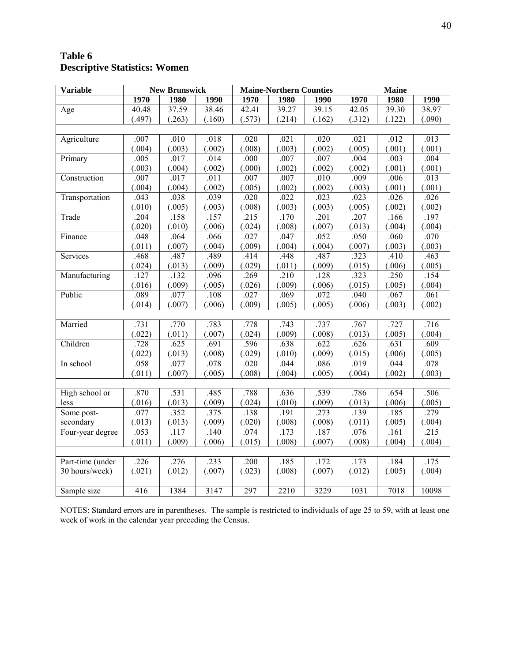# **Table 6 Descriptive Statistics: Women**

| <b>Variable</b>  |        | <b>New Brunswick</b> |        | <b>Maine-Northern Counties</b> |        |        | <b>Maine</b> |        |                   |
|------------------|--------|----------------------|--------|--------------------------------|--------|--------|--------------|--------|-------------------|
|                  | 1970   | 1980                 | 1990   | 1970                           | 1980   | 1990   | 1970         | 1980   | 1990              |
| Age              | 40.48  | 37.59                | 38.46  | 42.41                          | 39.27  | 39.15  | 42.05        | 39.30  | 38.97             |
|                  | (.497) | (.263)               | (.160) | (.573)                         | (.214) | (.162) | (.312)       | (.122) | (.090)            |
|                  |        |                      |        |                                |        |        |              |        |                   |
| Agriculture      | .007   | $.010\,$             | .018   | .020                           | .021   | .020   | .021         | .012   | .013              |
|                  | (.004) | (.003)               | (.002) | (.008)                         | (.003) | (.002) | (.005)       | (.001) | (.001)            |
| Primary          | .005   | .017                 | .014   | .000                           | .007   | .007   | .004         | .003   | .004              |
|                  | (.003) | (.004)               | (.002) | (.000)                         | (.002) | (.002) | (.002)       | (.001) | (.001)            |
| Construction     | .007   | .017                 | .011   | .007                           | .007   | .010   | .009         | .006   | .013              |
|                  | (.004) | (.004)               | (.002) | (.005)                         | (.002) | (.002) | (.003)       | (.001) | (.001)            |
| Transportation   | .043   | .038                 | .039   | .020                           | .022   | .023   | .023         | .026   | .026              |
|                  | (.010) | (.005)               | (.003) | (.008)                         | (.003) | (.003) | (.005)       | (.002) | (.002)            |
| Trade            | .204   | .158                 | .157   | .215                           | .170   | .201   | .207         | .166   | .197              |
|                  | (.020) | (.010)               | (.006) | (.024)                         | (.008) | (.007) | (.013)       | (.004) | (.004)            |
| Finance          | .048   | .064                 | .066   | .027                           | .047   | .052   | .050         | .060   | .070              |
|                  | (.011) | (.007)               | (.004) | (.009)                         | (.004) | (.004) | (.007)       | (.003) | (.003)            |
| Services         | .468   | .487                 | .489   | .414                           | .448   | .487   | .323         | .410   | .463              |
|                  | (.024) | (.013)               | (.009) | (.029)                         | (.011) | (.009) | (.015)       | (.006) | (.005)            |
| Manufacturing    | .127   | .132                 | .096   | .269                           | .210   | .128   | .323         | .250   | .154              |
|                  | (.016) | (.009)               | (.005) | (.026)                         | (.009) | (.006) | (.015)       | (.005) | (.004)            |
| Public           | .089   | .077                 | .108   | .027                           | .069   | .072   | .040         | .067   | .061              |
|                  | (.014) | (.007)               | (.006) | (.009)                         | (.005) | (.005) | (.006)       | (.003) | (.002)            |
|                  |        |                      |        |                                |        |        |              |        |                   |
| Married          | .731   | .770                 | .783   | .778                           | .743   | .737   | .767         | .727   | .716              |
|                  | (.022) | (.011)               | (.007) | (.024)                         | (.009) | (.008) | (.013)       | (.005) | (.004)            |
| Children         | .728   | .625                 | .691   | .596                           | .638   | .622   | .626         | .631   | .609              |
|                  | (.022) | (.013)               | (.008) | (.029)                         | (.010) | (.009) | (.015)       | (.006) | (.005)            |
| In school        | .058   | .077                 | .078   | .020                           | .044   | .086   | .019         | .044   | .078              |
|                  | (.011) | (.007)               | (.005) | (.008)                         | (.004) | (.005) | (.004)       | (.002) | (.003)            |
|                  |        |                      |        |                                |        |        |              |        |                   |
| High school or   | .870   | .531                 | .485   | .788                           | .636   | .539   | .786         | .654   | $\overline{.506}$ |
| less             | (.016) | (.013)               | (.009) | (.024)                         | (.010) | (.009) | (.013)       | (.006) | (.005)            |
| Some post-       | .077   | .352                 | .375   | .138                           | .191   | .273   | .139         | .185   | .279              |
| secondary        | (.013) | (.013)               | (.009) | (.020)                         | (.008) | (.008) | (.011)       | (.005) | (.004)            |
| Four-year degree | .053   | .117                 | .140   | .074                           | .173   | .187   | .076         | .161   | .215              |
|                  | (.011) | (.009)               | (.006) | (.015)                         | (.008) | (.007) | (.008)       | (.004) | (.004)            |
|                  |        |                      |        |                                |        |        |              |        |                   |
| Part-time (under | .226   | .276                 | .233   | .200                           | .185   | .172   | .173         | .184   | .175              |
| 30 hours/week)   | (.021) | (.012)               | (.007) | (.023)                         | (.008) | (.007) | (.012)       | (.005) | (.004)            |
|                  |        |                      |        |                                |        |        |              |        |                   |
| Sample size      | 416    | 1384                 | 3147   | 297                            | 2210   | 3229   | 1031         | 7018   | 10098             |

NOTES: Standard errors are in parentheses. The sample is restricted to individuals of age 25 to 59, with at least one week of work in the calendar year preceding the Census.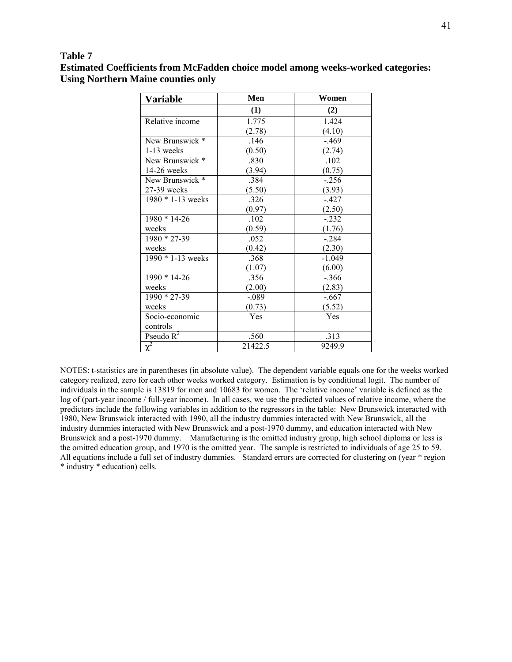## 41

### **Table 7**

**Estimated Coefficients from McFadden choice model among weeks-worked categories: Using Northern Maine counties only** 

| Variable              | Men     | Women    |
|-----------------------|---------|----------|
|                       | (1)     | (2)      |
| Relative income       | 1.775   | 1.424    |
|                       | (2.78)  | (4.10)   |
| New Brunswick *       | .146    | $-469$   |
| $1-13$ weeks          | (0.50)  | (2.74)   |
| New Brunswick *       | .830    | .102     |
| $14-26$ weeks         | (3.94)  | (0.75)   |
| New Brunswick *       | .384    | $-.256$  |
| $27-39$ weeks         | (5.50)  | (3.93)   |
| $1980 * 1 - 13$ weeks | .326    | $-427$   |
|                       | (0.97)  | (2.50)   |
| $1980 * 14 - 26$      | .102    | $-.232$  |
| weeks                 | (0.59)  | (1.76)   |
| $1980 * 27 - 39$      | .052    | $-.284$  |
| weeks                 | (0.42)  | (2.30)   |
| $1990 * 1 - 13$ weeks | .368    | $-1.049$ |
|                       | (1.07)  | (6.00)   |
| $1990 * 14-26$        | .356    | $-.366$  |
| weeks                 | (2.00)  | (2.83)   |
| $1990 * 27 - 39$      | $-.089$ | $-.667$  |
| weeks                 | (0.73)  | (5.52)   |
| Socio-economic        | Yes     | Yes      |
| controls              |         |          |
| Pseudo $R^2$          | .560    | .313     |
| $\overline{\chi^2}$   | 21422.5 | 9249.9   |

NOTES: t-statistics are in parentheses (in absolute value). The dependent variable equals one for the weeks worked category realized, zero for each other weeks worked category. Estimation is by conditional logit. The number of individuals in the sample is 13819 for men and 10683 for women. The 'relative income' variable is defined as the log of (part-year income / full-year income). In all cases, we use the predicted values of relative income, where the predictors include the following variables in addition to the regressors in the table: New Brunswick interacted with 1980, New Brunswick interacted with 1990, all the industry dummies interacted with New Brunswick, all the industry dummies interacted with New Brunswick and a post-1970 dummy, and education interacted with New Brunswick and a post-1970 dummy. Manufacturing is the omitted industry group, high school diploma or less is the omitted education group, and 1970 is the omitted year. The sample is restricted to individuals of age 25 to 59. All equations include a full set of industry dummies. Standard errors are corrected for clustering on (year \* region \* industry \* education) cells.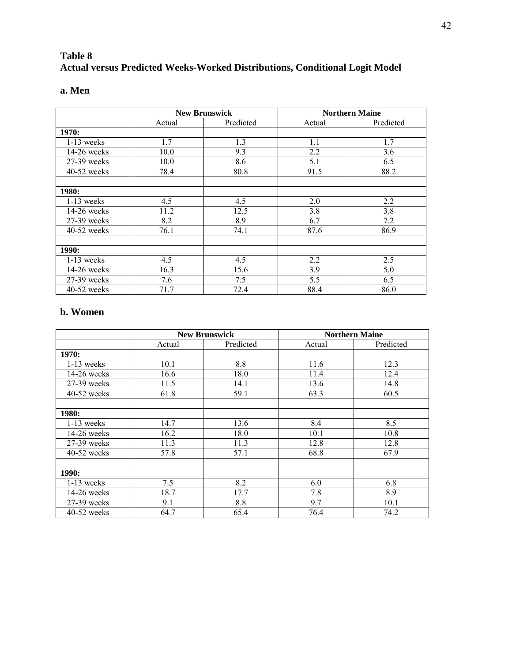# **Table 8 Actual versus Predicted Weeks-Worked Distributions, Conditional Logit Model**

| ×<br>۰, | ×<br>۰. |
|---------|---------|
|---------|---------|

|               | <b>New Brunswick</b> |           |        | <b>Northern Maine</b> |
|---------------|----------------------|-----------|--------|-----------------------|
|               | Actual               | Predicted | Actual | Predicted             |
| 1970:         |                      |           |        |                       |
| $1-13$ weeks  | 1.7                  | 1.3       | 1.1    | 1.7                   |
| $14-26$ weeks | 10.0                 | 9.3       | 2.2    | 3.6                   |
| 27-39 weeks   | 10.0                 | 8.6       | 5.1    | 6.5                   |
| $40-52$ weeks | 78.4                 | 80.8      | 91.5   | 88.2                  |
|               |                      |           |        |                       |
| <b>1980:</b>  |                      |           |        |                       |
| $1-13$ weeks  | 4.5                  | 4.5       | 2.0    | 2.2                   |
| 14-26 weeks   | 11.2                 | 12.5      | 3.8    | 3.8                   |
| 27-39 weeks   | 8.2                  | 8.9       | 6.7    | 7.2                   |
| $40-52$ weeks | 76.1                 | 74.1      | 87.6   | 86.9                  |
|               |                      |           |        |                       |
| 1990:         |                      |           |        |                       |
| $1-13$ weeks  | 4.5                  | 4.5       | 2.2    | 2.5                   |
| 14-26 weeks   | 16.3                 | 15.6      | 3.9    | 5.0                   |
| 27-39 weeks   | 7.6                  | 7.5       | 5.5    | 6.5                   |
| 40-52 weeks   | 71.7                 | 72.4      | 88.4   | 86.0                  |

## **b. Women**

|               |        | <b>New Brunswick</b> |        | <b>Northern Maine</b> |
|---------------|--------|----------------------|--------|-----------------------|
|               | Actual | Predicted            | Actual | Predicted             |
| 1970:         |        |                      |        |                       |
| $1-13$ weeks  | 10.1   | 8.8                  | 11.6   | 12.3                  |
| $14-26$ weeks | 16.6   | 18.0                 | 11.4   | 12.4                  |
| $27-39$ weeks | 11.5   | 14.1                 | 13.6   | 14.8                  |
| $40-52$ weeks | 61.8   | 59.1                 | 63.3   | 60.5                  |
|               |        |                      |        |                       |
| <b>1980:</b>  |        |                      |        |                       |
| $1-13$ weeks  | 14.7   | 13.6                 | 8.4    | 8.5                   |
| $14-26$ weeks | 16.2   | 18.0                 | 10.1   | 10.8                  |
| $27-39$ weeks | 11.3   | 11.3                 | 12.8   | 12.8                  |
| $40-52$ weeks | 57.8   | 57.1                 | 68.8   | 67.9                  |
|               |        |                      |        |                       |
| 1990:         |        |                      |        |                       |
| $1-13$ weeks  | 7.5    | 8.2                  | 6.0    | 6.8                   |
| $14-26$ weeks | 18.7   | 17.7                 | 7.8    | 8.9                   |
| 27-39 weeks   | 9.1    | 8.8                  | 9.7    | 10.1                  |
| $40-52$ weeks | 64.7   | 65.4                 | 76.4   | 74.2                  |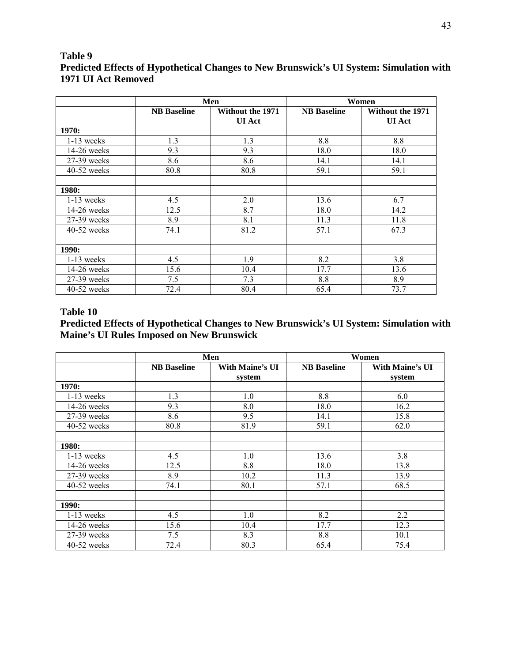## **Table 9 Predicted Effects of Hypothetical Changes to New Brunswick's UI System: Simulation with 1971 UI Act Removed**

|               |                    | Men                                      | Women              |                                          |
|---------------|--------------------|------------------------------------------|--------------------|------------------------------------------|
|               | <b>NB</b> Baseline | <b>Without the 1971</b><br><b>UI</b> Act | <b>NB</b> Baseline | <b>Without the 1971</b><br><b>UI</b> Act |
| 1970:         |                    |                                          |                    |                                          |
| $1-13$ weeks  | 1.3                | 1.3                                      | 8.8                | 8.8                                      |
| $14-26$ weeks | 9.3                | 9.3                                      | 18.0               | 18.0                                     |
| 27-39 weeks   | 8.6                | 8.6                                      | 14.1               | 14.1                                     |
| $40-52$ weeks | 80.8               | 80.8                                     | 59.1               | 59.1                                     |
|               |                    |                                          |                    |                                          |
| 1980:         |                    |                                          |                    |                                          |
| $1-13$ weeks  | 4.5                | 2.0                                      | 13.6               | 6.7                                      |
| $14-26$ weeks | 12.5               | 8.7                                      | 18.0               | 14.2                                     |
| 27-39 weeks   | 8.9                | 8.1                                      | 11.3               | 11.8                                     |
| $40-52$ weeks | 74.1               | 81.2                                     | 57.1               | 67.3                                     |
|               |                    |                                          |                    |                                          |
| 1990:         |                    |                                          |                    |                                          |
| $1-13$ weeks  | 4.5                | 1.9                                      | 8.2                | 3.8                                      |
| $14-26$ weeks | 15.6               | 10.4                                     | 17.7               | 13.6                                     |
| $27-39$ weeks | 7.5                | 7.3                                      | 8.8                | 8.9                                      |
| 40-52 weeks   | 72.4               | 80.4                                     | 65.4               | 73.7                                     |

## **Table 10**

# **Predicted Effects of Hypothetical Changes to New Brunswick's UI System: Simulation with Maine's UI Rules Imposed on New Brunswick**

|               |                    | Men<br>Women              |                    |                                  |
|---------------|--------------------|---------------------------|--------------------|----------------------------------|
|               | <b>NB</b> Baseline | With Maine's UI<br>system | <b>NB</b> Baseline | <b>With Maine's UI</b><br>system |
| 1970:         |                    |                           |                    |                                  |
| $1-13$ weeks  | 1.3                | 1.0                       | 8.8                | 6.0                              |
| $14-26$ weeks | 9.3                | 8.0                       | 18.0               | 16.2                             |
| 27-39 weeks   | 8.6                | 9.5                       | 14.1               | 15.8                             |
| $40-52$ weeks | 80.8               | 81.9                      | 59.1               | 62.0                             |
|               |                    |                           |                    |                                  |
| 1980:         |                    |                           |                    |                                  |
| $1-13$ weeks  | 4.5                | 1.0                       | 13.6               | 3.8                              |
| 14-26 weeks   | 12.5               | 8.8                       | 18.0               | 13.8                             |
| $27-39$ weeks | 8.9                | 10.2                      | 11.3               | 13.9                             |
| $40-52$ weeks | 74.1               | 80.1                      | 57.1               | 68.5                             |
|               |                    |                           |                    |                                  |
| 1990:         |                    |                           |                    |                                  |
| $1-13$ weeks  | 4.5                | 1.0                       | 8.2                | 2.2                              |
| $14-26$ weeks | 15.6               | 10.4                      | 17.7               | 12.3                             |
| 27-39 weeks   | 7.5                | 8.3                       | 8.8                | 10.1                             |
| $40-52$ weeks | 72.4               | 80.3                      | 65.4               | 75.4                             |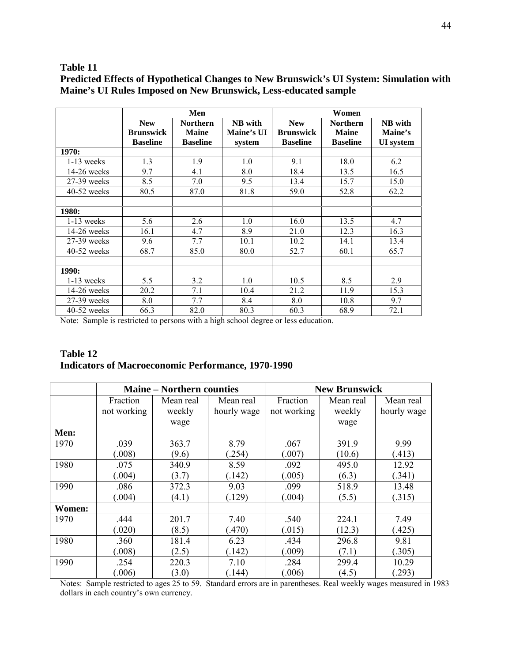## **Table 11**

|               |                                                   | Men                                                |                                 |                                                   | Women                                              |                                        |  |
|---------------|---------------------------------------------------|----------------------------------------------------|---------------------------------|---------------------------------------------------|----------------------------------------------------|----------------------------------------|--|
|               | <b>New</b><br><b>Brunswick</b><br><b>Baseline</b> | <b>Northern</b><br><b>Maine</b><br><b>Baseline</b> | NB with<br>Maine's UI<br>system | <b>New</b><br><b>Brunswick</b><br><b>Baseline</b> | <b>Northern</b><br><b>Maine</b><br><b>Baseline</b> | NB with<br>Maine's<br><b>UI</b> system |  |
| 1970:         |                                                   |                                                    |                                 |                                                   |                                                    |                                        |  |
| $1-13$ weeks  | 1.3                                               | 1.9                                                | 1.0                             | 9.1                                               | 18.0                                               | 6.2                                    |  |
| $14-26$ weeks | 9.7                                               | 4.1                                                | 8.0                             | 18.4                                              | 13.5                                               | 16.5                                   |  |
| 27-39 weeks   | 8.5                                               | 7.0                                                | 9.5                             | 13.4                                              | 15.7                                               | 15.0                                   |  |
| $40-52$ weeks | 80.5                                              | 87.0                                               | 81.8                            | 59.0                                              | 52.8                                               | 62.2                                   |  |
| 1980:         |                                                   |                                                    |                                 |                                                   |                                                    |                                        |  |
| $1-13$ weeks  | 5.6                                               | 2.6                                                | 1.0                             | 16.0                                              | 13.5                                               | 4.7                                    |  |
| $14-26$ weeks | 16.1                                              | 4.7                                                | 8.9                             | 21.0                                              | 12.3                                               | 16.3                                   |  |
| $27-39$ weeks | 9.6                                               | 7.7                                                | 10.1                            | 10.2                                              | 14.1                                               | 13.4                                   |  |
| $40-52$ weeks | 68.7                                              | 85.0                                               | 80.0                            | 52.7                                              | 60.1                                               | 65.7                                   |  |
| <b>1990:</b>  |                                                   |                                                    |                                 |                                                   |                                                    |                                        |  |
| $1-13$ weeks  | 5.5                                               | 3.2                                                | 1.0                             | 10.5                                              | 8.5                                                | 2.9                                    |  |
| $14-26$ weeks | 20.2                                              | 7.1                                                | 10.4                            | 21.2                                              | 11.9                                               | 15.3                                   |  |
| $27-39$ weeks | 8.0                                               | 7.7                                                | 8.4                             | 8.0                                               | 10.8                                               | 9.7                                    |  |
| $40-52$ weeks | 66.3                                              | 82.0                                               | 80.3                            | 60.3                                              | 68.9                                               | 72.1                                   |  |

**Predicted Effects of Hypothetical Changes to New Brunswick's UI System: Simulation with Maine's UI Rules Imposed on New Brunswick, Less-educated sample** 

Note: Sample is restricted to persons with a high school degree or less education.

## **Table 12 Indicators of Macroeconomic Performance, 1970-1990**

|        | <b>Maine – Northern counties</b> |           |             | <b>New Brunswick</b> |           |             |  |
|--------|----------------------------------|-----------|-------------|----------------------|-----------|-------------|--|
|        | Fraction                         | Mean real | Mean real   | Fraction             | Mean real | Mean real   |  |
|        | not working                      | weekly    | hourly wage | not working          | weekly    | hourly wage |  |
|        |                                  | wage      |             |                      | wage      |             |  |
| Men:   |                                  |           |             |                      |           |             |  |
| 1970   | .039                             | 363.7     | 8.79        | .067                 | 391.9     | 9.99        |  |
|        | (0.008)                          | (9.6)     | (.254)      | (.007)               | (10.6)    | (.413)      |  |
| 1980   | .075                             | 340.9     | 8.59        | .092                 | 495.0     | 12.92       |  |
|        | (.004)                           | (3.7)     | (.142)      | (.005)               | (6.3)     | (.341)      |  |
| 1990   | .086                             | 372.3     | 9.03        | .099                 | 518.9     | 13.48       |  |
|        | (.004)                           | (4.1)     | (.129)      | (.004)               | (5.5)     | (.315)      |  |
| Women: |                                  |           |             |                      |           |             |  |
| 1970   | .444                             | 201.7     | 7.40        | .540                 | 224.1     | 7.49        |  |
|        | (0.020)                          | (8.5)     | (.470)      | (.015)               | (12.3)    | (.425)      |  |
| 1980   | .360                             | 181.4     | 6.23        | .434                 | 296.8     | 9.81        |  |
|        | (.008)                           | (2.5)     | (.142)      | (.009)               | (7.1)     | (.305)      |  |
| 1990   | .254                             | 220.3     | 7.10        | .284                 | 299.4     | 10.29       |  |
|        | (.006)                           | (3.0)     | (.144)      | (.006)               | (4.5)     | (.293)      |  |

Notes: Sample restricted to ages 25 to 59. Standard errors are in parentheses. Real weekly wages measured in 1983 dollars in each country's own currency.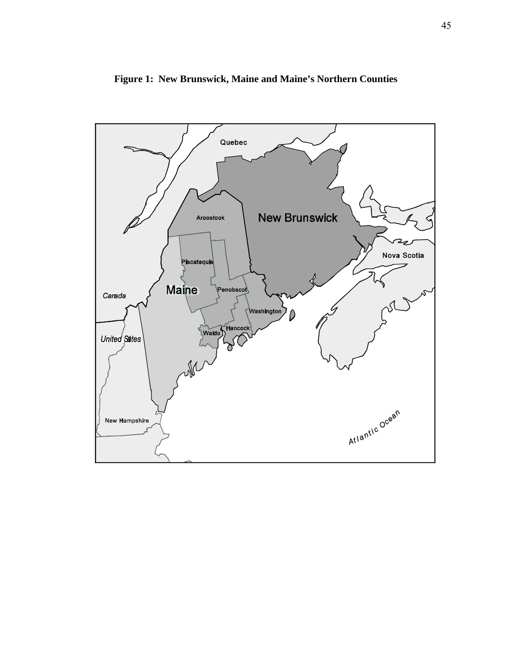

**Figure 1: New Brunswick, Maine and Maine's Northern Counties**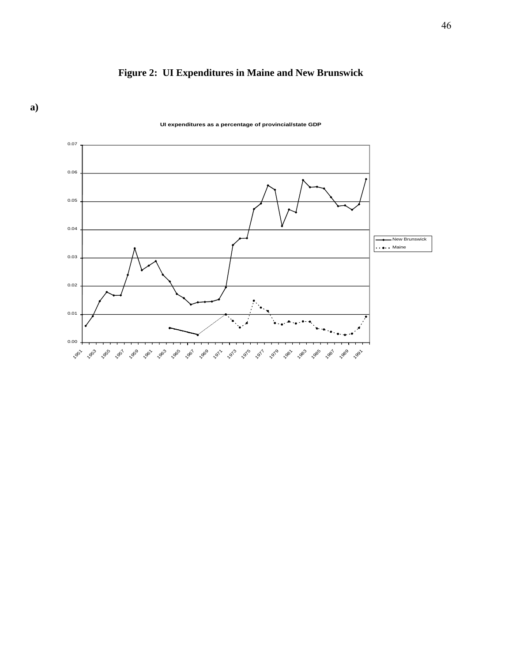



**UI expenditures as a percentage of provincial/state GDP**

# **a)**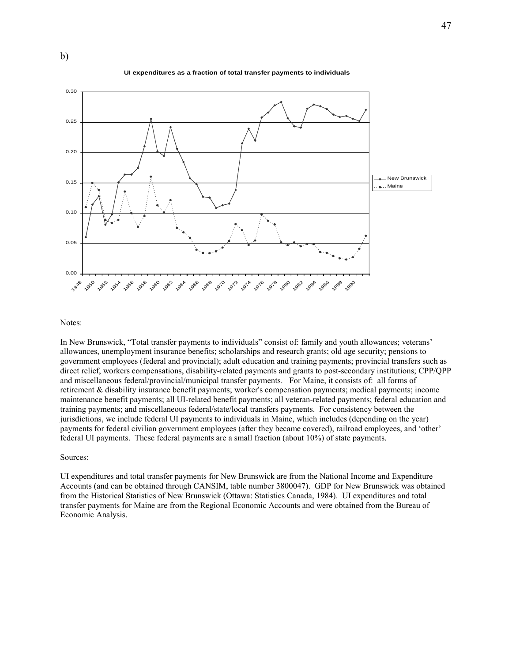



Notes:

b)

In New Brunswick, "Total transfer payments to individuals" consist of: family and youth allowances; veterans' allowances, unemployment insurance benefits; scholarships and research grants; old age security; pensions to government employees (federal and provincial); adult education and training payments; provincial transfers such as direct relief, workers compensations, disability-related payments and grants to post-secondary institutions; CPP/QPP and miscellaneous federal/provincial/municipal transfer payments. For Maine, it consists of: all forms of retirement & disability insurance benefit payments; worker's compensation payments; medical payments; income maintenance benefit payments; all UI-related benefit payments; all veteran-related payments; federal education and training payments; and miscellaneous federal/state/local transfers payments. For consistency between the jurisdictions, we include federal UI payments to individuals in Maine, which includes (depending on the year) payments for federal civilian government employees (after they became covered), railroad employees, and 'other' federal UI payments. These federal payments are a small fraction (about 10%) of state payments.

#### Sources:

UI expenditures and total transfer payments for New Brunswick are from the National Income and Expenditure Accounts (and can be obtained through CANSIM, table number 3800047). GDP for New Brunswick was obtained from the Historical Statistics of New Brunswick (Ottawa: Statistics Canada, 1984). UI expenditures and total transfer payments for Maine are from the Regional Economic Accounts and were obtained from the Bureau of Economic Analysis.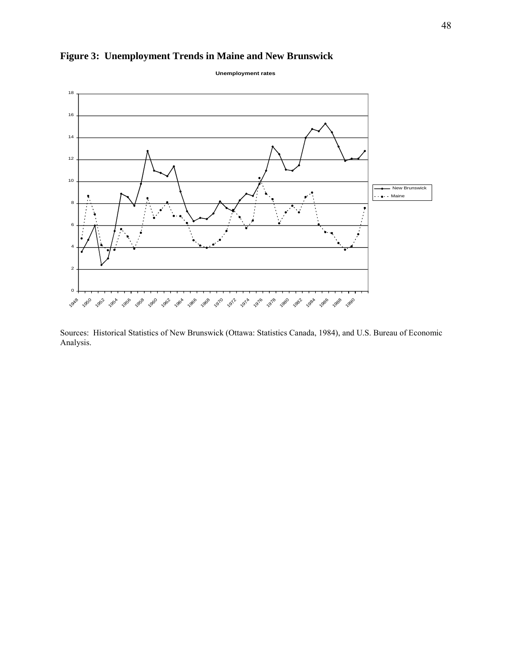



Sources: Historical Statistics of New Brunswick (Ottawa: Statistics Canada, 1984), and U.S. Bureau of Economic Analysis.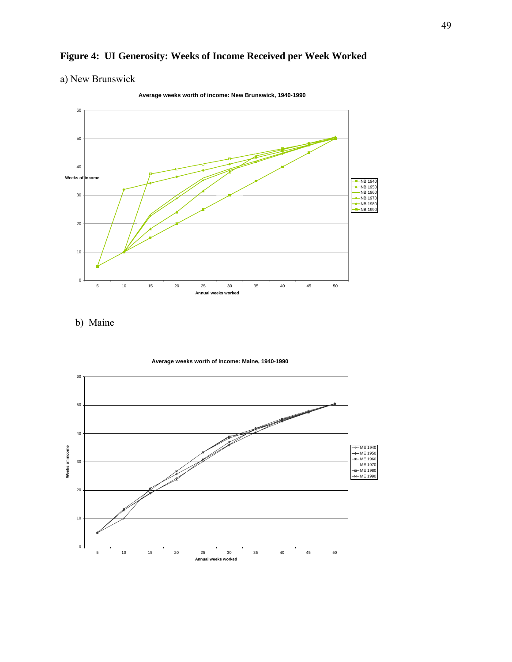# **Figure 4: UI Generosity: Weeks of Income Received per Week Worked**

# a) New Brunswick

0 10 20 30 40 50 60 5 10 15 20 25 30 35 40 45 50 **Annual weeks worked Weeks of income NB 1940** NB 1950 NB 1960  $\nightharpoonup$ NB 1970 NB 1980 NB 1990

**Average weeks worth of income: New Brunswick, 1940-1990**

b) Maine

**Average weeks worth of income: Maine, 1940-1990**

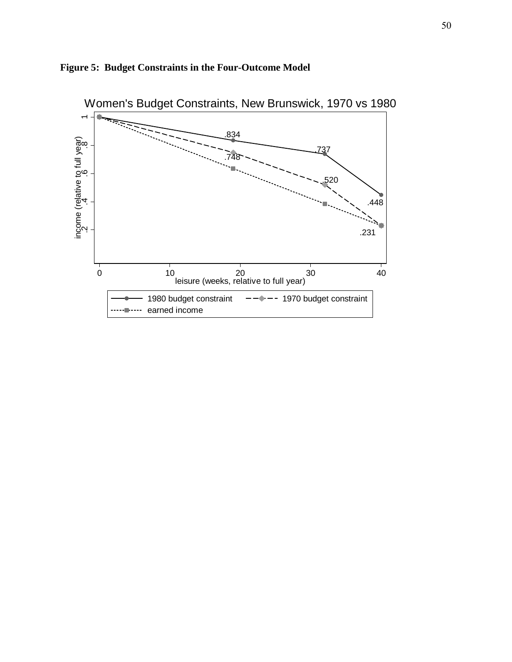

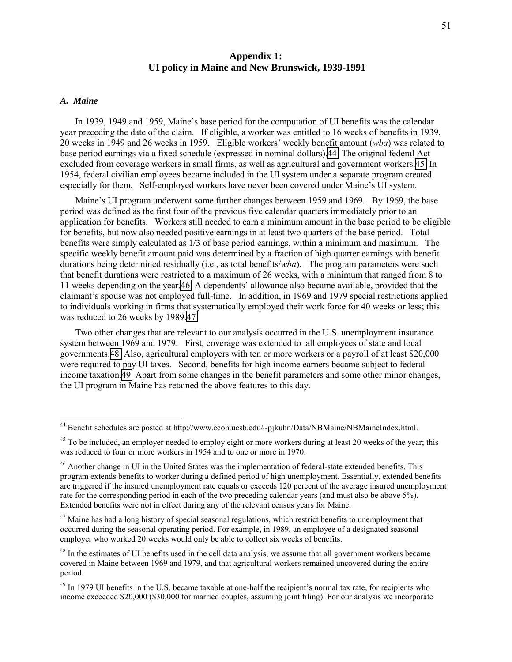## **Appendix 1: UI policy in Maine and New Brunswick, 1939-1991**

### *A. Maine*

 $\overline{a}$ 

In 1939, 1949 and 1959, Maine's base period for the computation of UI benefits was the calendar year preceding the date of the claim. If eligible, a worker was entitled to 16 weeks of benefits in 1939, 20 weeks in 1949 and 26 weeks in 1959. Eligible workers' weekly benefit amount (*wba*) was related to base period earnings via a fixed schedule (expressed in nominal dollars).44 The original federal Act excluded from coverage workers in small firms, as well as agricultural and government workers.45 In 1954, federal civilian employees became included in the UI system under a separate program created especially for them. Self-employed workers have never been covered under Maine's UI system.

Maine's UI program underwent some further changes between 1959 and 1969. By 1969, the base period was defined as the first four of the previous five calendar quarters immediately prior to an application for benefits. Workers still needed to earn a minimum amount in the base period to be eligible for benefits, but now also needed positive earnings in at least two quarters of the base period. Total benefits were simply calculated as 1/3 of base period earnings, within a minimum and maximum. The specific weekly benefit amount paid was determined by a fraction of high quarter earnings with benefit durations being determined residually (i.e., as total benefits/*wba*). The program parameters were such that benefit durations were restricted to a maximum of 26 weeks, with a minimum that ranged from 8 to 11 weeks depending on the year.46 A dependents' allowance also became available, provided that the claimant's spouse was not employed full-time. In addition, in 1969 and 1979 special restrictions applied to individuals working in firms that systematically employed their work force for 40 weeks or less; this was reduced to 26 weeks by 1989.47

Two other changes that are relevant to our analysis occurred in the U.S. unemployment insurance system between 1969 and 1979. First, coverage was extended to all employees of state and local governments.48 Also, agricultural employers with ten or more workers or a payroll of at least \$20,000 were required to pay UI taxes. Second, benefits for high income earners became subject to federal income taxation.49 Apart from some changes in the benefit parameters and some other minor changes, the UI program in Maine has retained the above features to this day.

<sup>&</sup>lt;sup>44</sup> Benefit schedules are posted at http://www.econ.ucsb.edu/~pjkuhn/Data/NBMaine/NBMaineIndex.html.

<sup>&</sup>lt;sup>45</sup> To be included, an employer needed to employ eight or more workers during at least 20 weeks of the year; this was reduced to four or more workers in 1954 and to one or more in 1970.

<sup>&</sup>lt;sup>46</sup> Another change in UI in the United States was the implementation of federal-state extended benefits. This program extends benefits to worker during a defined period of high unemployment. Essentially, extended benefits are triggered if the insured unemployment rate equals or exceeds 120 percent of the average insured unemployment rate for the corresponding period in each of the two preceding calendar years (and must also be above 5%). Extended benefits were not in effect during any of the relevant census years for Maine.

<sup>&</sup>lt;sup>47</sup> Maine has had a long history of special seasonal regulations, which restrict benefits to unemployment that occurred during the seasonal operating period. For example, in 1989, an employee of a designated seasonal employer who worked 20 weeks would only be able to collect six weeks of benefits.

<sup>&</sup>lt;sup>48</sup> In the estimates of UI benefits used in the cell data analysis, we assume that all government workers became covered in Maine between 1969 and 1979, and that agricultural workers remained uncovered during the entire period.

 $49$  In 1979 UI benefits in the U.S. became taxable at one-half the recipient's normal tax rate, for recipients who income exceeded \$20,000 (\$30,000 for married couples, assuming joint filing). For our analysis we incorporate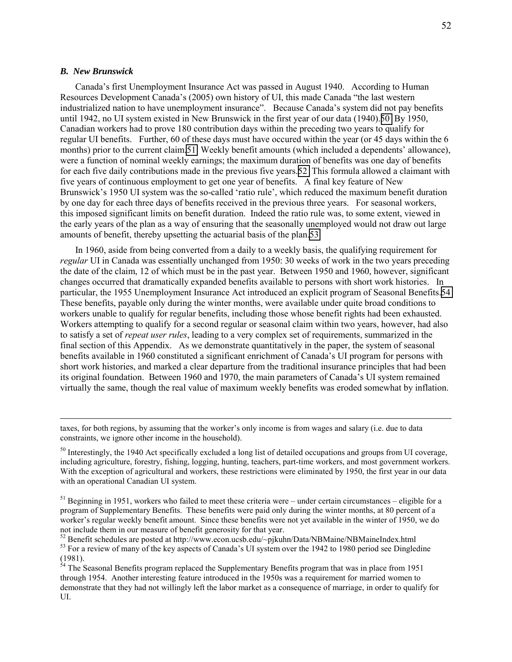### *B. New Brunswick*

 $\overline{a}$ 

Canada's first Unemployment Insurance Act was passed in August 1940. According to Human Resources Development Canada's (2005) own history of UI, this made Canada "the last western industrialized nation to have unemployment insurance". Because Canada's system did not pay benefits until 1942, no UI system existed in New Brunswick in the first year of our data (1940).50 By 1950, Canadian workers had to prove 180 contribution days within the preceding two years to qualify for regular UI benefits. Further, 60 of these days must have occured within the year (or 45 days within the 6 months) prior to the current claim.51 Weekly benefit amounts (which included a dependents' allowance), were a function of nominal weekly earnings; the maximum duration of benefits was one day of benefits for each five daily contributions made in the previous five years.52 This formula allowed a claimant with five years of continuous employment to get one year of benefits. A final key feature of New Brunswick's 1950 UI system was the so-called 'ratio rule', which reduced the maximum benefit duration by one day for each three days of benefits received in the previous three years. For seasonal workers, this imposed significant limits on benefit duration. Indeed the ratio rule was, to some extent, viewed in the early years of the plan as a way of ensuring that the seasonally unemployed would not draw out large amounts of benefit, thereby upsetting the actuarial basis of the plan.53

In 1960, aside from being converted from a daily to a weekly basis, the qualifying requirement for *regular* UI in Canada was essentially unchanged from 1950: 30 weeks of work in the two years preceding the date of the claim, 12 of which must be in the past year. Between 1950 and 1960, however, significant changes occurred that dramatically expanded benefits available to persons with short work histories. In particular, the 1955 Unemployment Insurance Act introduced an explicit program of Seasonal Benefits.54 These benefits, payable only during the winter months, were available under quite broad conditions to workers unable to qualify for regular benefits, including those whose benefit rights had been exhausted. Workers attempting to qualify for a second regular or seasonal claim within two years, however, had also to satisfy a set of *repeat user rules*, leading to a very complex set of requirements, summarized in the final section of this Appendix. As we demonstrate quantitatively in the paper, the system of seasonal benefits available in 1960 constituted a significant enrichment of Canada's UI program for persons with short work histories, and marked a clear departure from the traditional insurance principles that had been its original foundation. Between 1960 and 1970, the main parameters of Canada's UI system remained virtually the same, though the real value of maximum weekly benefits was eroded somewhat by inflation.

taxes, for both regions, by assuming that the worker's only income is from wages and salary (i.e. due to data constraints, we ignore other income in the household).

<sup>&</sup>lt;sup>50</sup> Interestingly, the 1940 Act specifically excluded a long list of detailed occupations and groups from UI coverage. including agriculture, forestry, fishing, logging, hunting, teachers, part-time workers, and most government workers. With the exception of agricultural and workers, these restrictions were eliminated by 1950, the first year in our data with an operational Canadian UI system.

 $<sup>51</sup>$  Beginning in 1951, workers who failed to meet these criteria were – under certain circumstances – eligible for a</sup> program of Supplementary Benefits. These benefits were paid only during the winter months, at 80 percent of a worker's regular weekly benefit amount. Since these benefits were not yet available in the winter of 1950, we do not include them in our measure of benefit generosity for that year.

 $52$  Benefit schedules are posted at http://www.econ.ucsb.edu/~pjkuhn/Data/NBMaine/NBMaineIndex.html <sup>53</sup> For a review of many of the key aspects of Canada's UI system over the 1942 to 1980 period see Dingledine (1981).

 $54$  The Seasonal Benefits program replaced the Supplementary Benefits program that was in place from 1951 through 1954. Another interesting feature introduced in the 1950s was a requirement for married women to demonstrate that they had not willingly left the labor market as a consequence of marriage, in order to qualify for UI.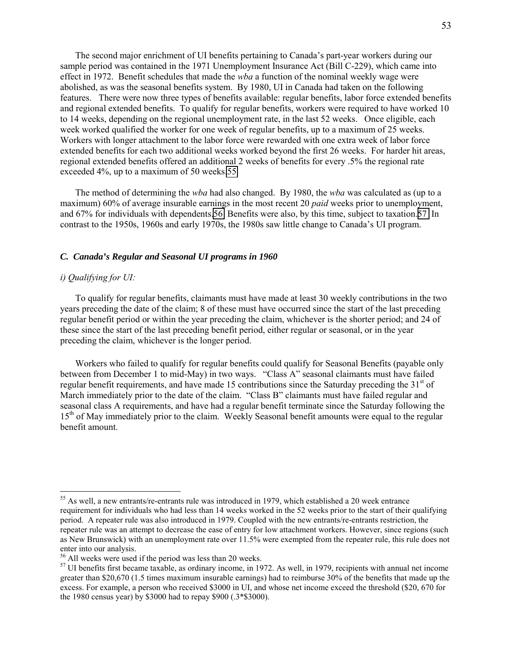The second major enrichment of UI benefits pertaining to Canada's part-year workers during our sample period was contained in the 1971 Unemployment Insurance Act (Bill C-229), which came into effect in 1972. Benefit schedules that made the *wba* a function of the nominal weekly wage were abolished, as was the seasonal benefits system. By 1980, UI in Canada had taken on the following features. There were now three types of benefits available: regular benefits, labor force extended benefits and regional extended benefits. To qualify for regular benefits, workers were required to have worked 10 to 14 weeks, depending on the regional unemployment rate, in the last 52 weeks. Once eligible, each week worked qualified the worker for one week of regular benefits, up to a maximum of 25 weeks. Workers with longer attachment to the labor force were rewarded with one extra week of labor force extended benefits for each two additional weeks worked beyond the first 26 weeks. For harder hit areas, regional extended benefits offered an additional 2 weeks of benefits for every .5% the regional rate exceeded 4%, up to a maximum of 50 weeks.55

The method of determining the *wba* had also changed. By 1980, the *wba* was calculated as (up to a maximum) 60% of average insurable earnings in the most recent 20 *paid* weeks prior to unemployment, and 67% for individuals with dependents.56 Benefits were also, by this time, subject to taxation.57 In contrast to the 1950s, 1960s and early 1970s, the 1980s saw little change to Canada's UI program.

### *C. Canada's Regular and Seasonal UI programs in 1960*

### *i) Qualifying for UI:*

 $\overline{a}$ 

To qualify for regular benefits, claimants must have made at least 30 weekly contributions in the two years preceding the date of the claim; 8 of these must have occurred since the start of the last preceding regular benefit period or within the year preceding the claim, whichever is the shorter period; and 24 of these since the start of the last preceding benefit period, either regular or seasonal, or in the year preceding the claim, whichever is the longer period.

Workers who failed to qualify for regular benefits could qualify for Seasonal Benefits (payable only between from December 1 to mid-May) in two ways. "Class A" seasonal claimants must have failed regular benefit requirements, and have made 15 contributions since the Saturday preceding the 31<sup>st</sup> of March immediately prior to the date of the claim. "Class B" claimants must have failed regular and seasonal class A requirements, and have had a regular benefit terminate since the Saturday following the 15<sup>th</sup> of May immediately prior to the claim. Weekly Seasonal benefit amounts were equal to the regular benefit amount.

 $55$  As well, a new entrants/re-entrants rule was introduced in 1979, which established a 20 week entrance requirement for individuals who had less than 14 weeks worked in the 52 weeks prior to the start of their qualifying period. A repeater rule was also introduced in 1979. Coupled with the new entrants/re-entrants restriction, the repeater rule was an attempt to decrease the ease of entry for low attachment workers. However, since regions (such as New Brunswick) with an unemployment rate over 11.5% were exempted from the repeater rule, this rule does not enter into our analysis.

<sup>56</sup> All weeks were used if the period was less than 20 weeks.

 $57$  UI benefits first became taxable, as ordinary income, in 1972. As well, in 1979, recipients with annual net income greater than \$20,670 (1.5 times maximum insurable earnings) had to reimburse 30% of the benefits that made up the excess. For example, a person who received \$3000 in UI, and whose net income exceed the threshold (\$20, 670 for the 1980 census year) by \$3000 had to repay \$900 (.3\*\$3000).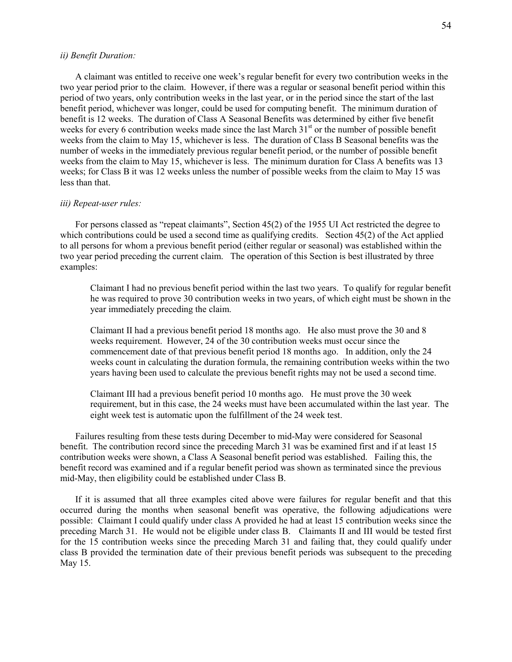### *ii) Benefit Duration:*

A claimant was entitled to receive one week's regular benefit for every two contribution weeks in the two year period prior to the claim. However, if there was a regular or seasonal benefit period within this period of two years, only contribution weeks in the last year, or in the period since the start of the last benefit period, whichever was longer, could be used for computing benefit. The minimum duration of benefit is 12 weeks. The duration of Class A Seasonal Benefits was determined by either five benefit weeks for every 6 contribution weeks made since the last March 31<sup>st</sup> or the number of possible benefit weeks from the claim to May 15, whichever is less. The duration of Class B Seasonal benefits was the number of weeks in the immediately previous regular benefit period, or the number of possible benefit weeks from the claim to May 15, whichever is less. The minimum duration for Class A benefits was 13 weeks; for Class B it was 12 weeks unless the number of possible weeks from the claim to May 15 was less than that.

### *iii) Repeat-user rules:*

For persons classed as "repeat claimants", Section 45(2) of the 1955 UI Act restricted the degree to which contributions could be used a second time as qualifying credits. Section 45(2) of the Act applied to all persons for whom a previous benefit period (either regular or seasonal) was established within the two year period preceding the current claim. The operation of this Section is best illustrated by three examples:

Claimant I had no previous benefit period within the last two years. To qualify for regular benefit he was required to prove 30 contribution weeks in two years, of which eight must be shown in the year immediately preceding the claim.

Claimant II had a previous benefit period 18 months ago. He also must prove the 30 and 8 weeks requirement. However, 24 of the 30 contribution weeks must occur since the commencement date of that previous benefit period 18 months ago. In addition, only the 24 weeks count in calculating the duration formula, the remaining contribution weeks within the two years having been used to calculate the previous benefit rights may not be used a second time.

Claimant III had a previous benefit period 10 months ago. He must prove the 30 week requirement, but in this case, the 24 weeks must have been accumulated within the last year. The eight week test is automatic upon the fulfillment of the 24 week test.

Failures resulting from these tests during December to mid-May were considered for Seasonal benefit. The contribution record since the preceding March 31 was be examined first and if at least 15 contribution weeks were shown, a Class A Seasonal benefit period was established. Failing this, the benefit record was examined and if a regular benefit period was shown as terminated since the previous mid-May, then eligibility could be established under Class B.

If it is assumed that all three examples cited above were failures for regular benefit and that this occurred during the months when seasonal benefit was operative, the following adjudications were possible: Claimant I could qualify under class A provided he had at least 15 contribution weeks since the preceding March 31. He would not be eligible under class B. Claimants II and III would be tested first for the 15 contribution weeks since the preceding March 31 and failing that, they could qualify under class B provided the termination date of their previous benefit periods was subsequent to the preceding May 15.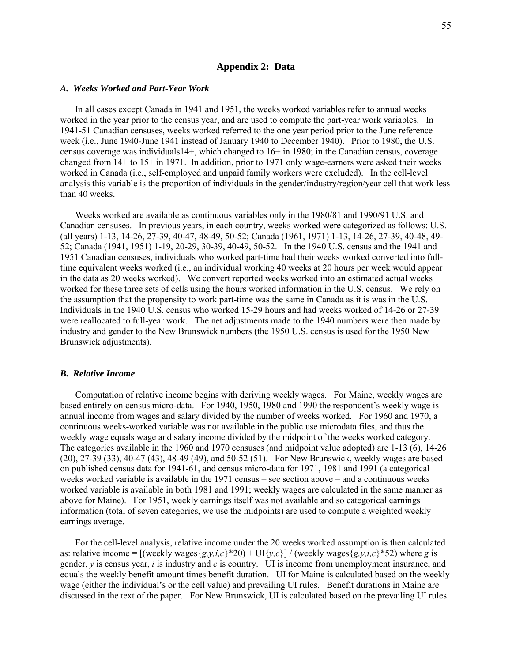### **Appendix 2: Data**

#### *A. Weeks Worked and Part-Year Work*

In all cases except Canada in 1941 and 1951, the weeks worked variables refer to annual weeks worked in the year prior to the census year, and are used to compute the part-year work variables. In 1941-51 Canadian censuses, weeks worked referred to the one year period prior to the June reference week (i.e., June 1940-June 1941 instead of January 1940 to December 1940). Prior to 1980, the U.S. census coverage was individuals14+, which changed to 16+ in 1980; in the Canadian census, coverage changed from 14+ to 15+ in 1971. In addition, prior to 1971 only wage-earners were asked their weeks worked in Canada (i.e., self-employed and unpaid family workers were excluded). In the cell-level analysis this variable is the proportion of individuals in the gender/industry/region/year cell that work less than 40 weeks.

Weeks worked are available as continuous variables only in the 1980/81 and 1990/91 U.S. and Canadian censuses. In previous years, in each country, weeks worked were categorized as follows: U.S. (all years) 1-13, 14-26, 27-39, 40-47, 48-49, 50-52; Canada (1961, 1971) 1-13, 14-26, 27-39, 40-48, 49- 52; Canada (1941, 1951) 1-19, 20-29, 30-39, 40-49, 50-52. In the 1940 U.S. census and the 1941 and 1951 Canadian censuses, individuals who worked part-time had their weeks worked converted into fulltime equivalent weeks worked (i.e., an individual working 40 weeks at 20 hours per week would appear in the data as 20 weeks worked). We convert reported weeks worked into an estimated actual weeks worked for these three sets of cells using the hours worked information in the U.S. census. We rely on the assumption that the propensity to work part-time was the same in Canada as it is was in the U.S. Individuals in the 1940 U.S. census who worked 15-29 hours and had weeks worked of 14-26 or 27-39 were reallocated to full-year work. The net adjustments made to the 1940 numbers were then made by industry and gender to the New Brunswick numbers (the 1950 U.S. census is used for the 1950 New Brunswick adjustments).

### *B. Relative Income*

Computation of relative income begins with deriving weekly wages. For Maine, weekly wages are based entirely on census micro-data. For 1940, 1950, 1980 and 1990 the respondent's weekly wage is annual income from wages and salary divided by the number of weeks worked. For 1960 and 1970, a continuous weeks-worked variable was not available in the public use microdata files, and thus the weekly wage equals wage and salary income divided by the midpoint of the weeks worked category. The categories available in the 1960 and 1970 censuses (and midpoint value adopted) are 1-13 (6), 14-26 (20), 27-39 (33), 40-47 (43), 48-49 (49), and 50-52 (51). For New Brunswick, weekly wages are based on published census data for 1941-61, and census micro-data for 1971, 1981 and 1991 (a categorical weeks worked variable is available in the 1971 census – see section above – and a continuous weeks worked variable is available in both 1981 and 1991; weekly wages are calculated in the same manner as above for Maine). For 1951, weekly earnings itself was not available and so categorical earnings information (total of seven categories, we use the midpoints) are used to compute a weighted weekly earnings average.

For the cell-level analysis, relative income under the 20 weeks worked assumption is then calculated as: relative income =  $[(\text{weakly wages}\{g,y,i,c\}^*20) + \text{UI}\{y,c\}] / (\text{weakly wages}\{g,y,i,c\}^*52)$  where *g* is gender, *y* is census year, *i* is industry and *c* is country. UI is income from unemployment insurance, and equals the weekly benefit amount times benefit duration. UI for Maine is calculated based on the weekly wage (either the individual's or the cell value) and prevailing UI rules. Benefit durations in Maine are discussed in the text of the paper. For New Brunswick, UI is calculated based on the prevailing UI rules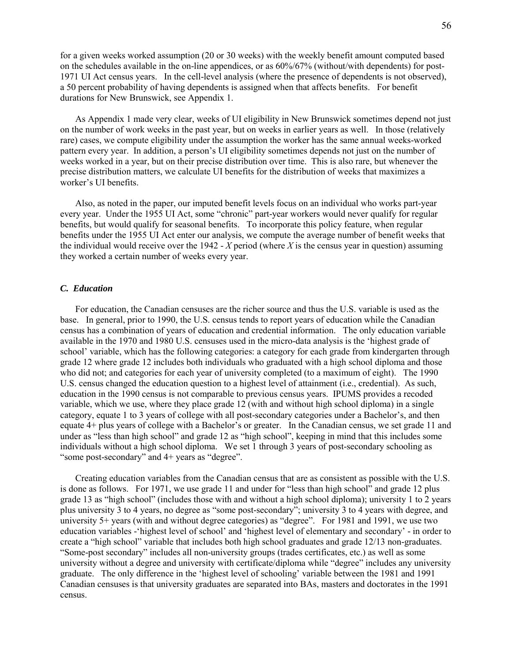for a given weeks worked assumption (20 or 30 weeks) with the weekly benefit amount computed based on the schedules available in the on-line appendices, or as 60%/67% (without/with dependents) for post-1971 UI Act census years. In the cell-level analysis (where the presence of dependents is not observed), a 50 percent probability of having dependents is assigned when that affects benefits. For benefit durations for New Brunswick, see Appendix 1.

As Appendix 1 made very clear, weeks of UI eligibility in New Brunswick sometimes depend not just on the number of work weeks in the past year, but on weeks in earlier years as well. In those (relatively rare) cases, we compute eligibility under the assumption the worker has the same annual weeks-worked pattern every year. In addition, a person's UI eligibility sometimes depends not just on the number of weeks worked in a year, but on their precise distribution over time. This is also rare, but whenever the precise distribution matters, we calculate UI benefits for the distribution of weeks that maximizes a worker's UI benefits.

Also, as noted in the paper, our imputed benefit levels focus on an individual who works part-year every year. Under the 1955 UI Act, some "chronic" part-year workers would never qualify for regular benefits, but would qualify for seasonal benefits. To incorporate this policy feature, when regular benefits under the 1955 UI Act enter our analysis, we compute the average number of benefit weeks that the individual would receive over the 1942 - *X* period (where *X* is the census year in question) assuming they worked a certain number of weeks every year.

### *C. Education*

For education, the Canadian censuses are the richer source and thus the U.S. variable is used as the base. In general, prior to 1990, the U.S. census tends to report years of education while the Canadian census has a combination of years of education and credential information. The only education variable available in the 1970 and 1980 U.S. censuses used in the micro-data analysis is the 'highest grade of school' variable, which has the following categories: a category for each grade from kindergarten through grade 12 where grade 12 includes both individuals who graduated with a high school diploma and those who did not; and categories for each year of university completed (to a maximum of eight). The 1990 U.S. census changed the education question to a highest level of attainment (i.e., credential). As such, education in the 1990 census is not comparable to previous census years. IPUMS provides a recoded variable, which we use, where they place grade 12 (with and without high school diploma) in a single category, equate 1 to 3 years of college with all post-secondary categories under a Bachelor's, and then equate 4+ plus years of college with a Bachelor's or greater. In the Canadian census, we set grade 11 and under as "less than high school" and grade 12 as "high school", keeping in mind that this includes some individuals without a high school diploma. We set 1 through 3 years of post-secondary schooling as "some post-secondary" and 4+ years as "degree".

Creating education variables from the Canadian census that are as consistent as possible with the U.S. is done as follows. For 1971, we use grade 11 and under for "less than high school" and grade 12 plus grade 13 as "high school" (includes those with and without a high school diploma); university 1 to 2 years plus university 3 to 4 years, no degree as "some post-secondary"; university 3 to 4 years with degree, and university 5+ years (with and without degree categories) as "degree". For 1981 and 1991, we use two education variables -'highest level of school' and 'highest level of elementary and secondary' - in order to create a "high school" variable that includes both high school graduates and grade 12/13 non-graduates. "Some-post secondary" includes all non-university groups (trades certificates, etc.) as well as some university without a degree and university with certificate/diploma while "degree" includes any university graduate. The only difference in the 'highest level of schooling' variable between the 1981 and 1991 Canadian censuses is that university graduates are separated into BAs, masters and doctorates in the 1991 census.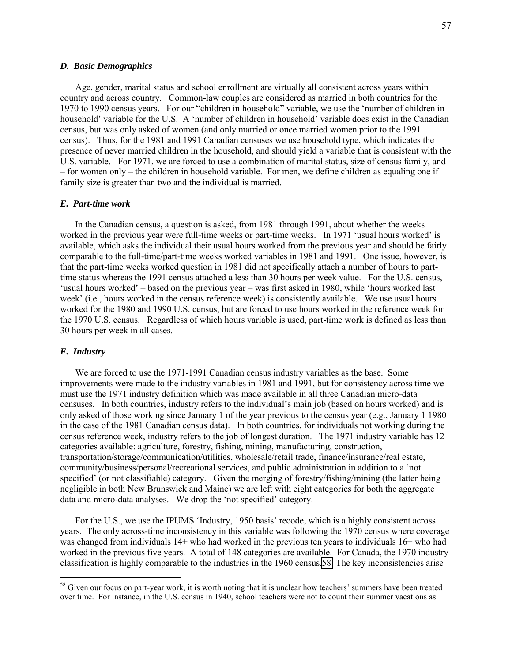### *D. Basic Demographics*

Age, gender, marital status and school enrollment are virtually all consistent across years within country and across country. Common-law couples are considered as married in both countries for the 1970 to 1990 census years. For our "children in household" variable, we use the 'number of children in household' variable for the U.S. A 'number of children in household' variable does exist in the Canadian census, but was only asked of women (and only married or once married women prior to the 1991 census). Thus, for the 1981 and 1991 Canadian censuses we use household type, which indicates the presence of never married children in the household, and should yield a variable that is consistent with the U.S. variable. For 1971, we are forced to use a combination of marital status, size of census family, and – for women only – the children in household variable. For men, we define children as equaling one if family size is greater than two and the individual is married.

### *E. Part-time work*

In the Canadian census, a question is asked, from 1981 through 1991, about whether the weeks worked in the previous year were full-time weeks or part-time weeks. In 1971 'usual hours worked' is available, which asks the individual their usual hours worked from the previous year and should be fairly comparable to the full-time/part-time weeks worked variables in 1981 and 1991. One issue, however, is that the part-time weeks worked question in 1981 did not specifically attach a number of hours to parttime status whereas the 1991 census attached a less than 30 hours per week value. For the U.S. census, 'usual hours worked' – based on the previous year – was first asked in 1980, while 'hours worked last week' (i.e., hours worked in the census reference week) is consistently available. We use usual hours worked for the 1980 and 1990 U.S. census, but are forced to use hours worked in the reference week for the 1970 U.S. census. Regardless of which hours variable is used, part-time work is defined as less than 30 hours per week in all cases.

### *F. Industry*

 $\overline{a}$ 

We are forced to use the 1971-1991 Canadian census industry variables as the base. Some improvements were made to the industry variables in 1981 and 1991, but for consistency across time we must use the 1971 industry definition which was made available in all three Canadian micro-data censuses. In both countries, industry refers to the individual's main job (based on hours worked) and is only asked of those working since January 1 of the year previous to the census year (e.g., January 1 1980 in the case of the 1981 Canadian census data). In both countries, for individuals not working during the census reference week, industry refers to the job of longest duration. The 1971 industry variable has 12 categories available: agriculture, forestry, fishing, mining, manufacturing, construction, transportation/storage/communication/utilities, wholesale/retail trade, finance/insurance/real estate, community/business/personal/recreational services, and public administration in addition to a 'not specified' (or not classifiable) category. Given the merging of forestry/fishing/mining (the latter being negligible in both New Brunswick and Maine) we are left with eight categories for both the aggregate data and micro-data analyses. We drop the 'not specified' category.

For the U.S., we use the IPUMS 'Industry, 1950 basis' recode, which is a highly consistent across years. The only across-time inconsistency in this variable was following the 1970 census where coverage was changed from individuals 14+ who had worked in the previous ten years to individuals 16+ who had worked in the previous five years. A total of 148 categories are available. For Canada, the 1970 industry classification is highly comparable to the industries in the 1960 census.58 The key inconsistencies arise

 $58$  Given our focus on part-year work, it is worth noting that it is unclear how teachers' summers have been treated over time. For instance, in the U.S. census in 1940, school teachers were not to count their summer vacations as